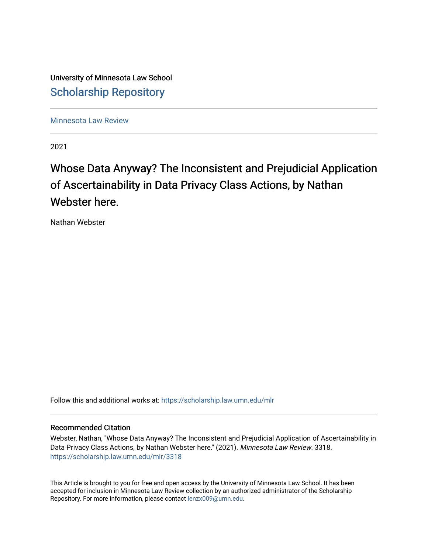University of Minnesota Law School [Scholarship Repository](https://scholarship.law.umn.edu/) 

[Minnesota Law Review](https://scholarship.law.umn.edu/mlr) 

2021

# Whose Data Anyway? The Inconsistent and Prejudicial Application of Ascertainability in Data Privacy Class Actions, by Nathan Webster here.

Nathan Webster

Follow this and additional works at: [https://scholarship.law.umn.edu/mlr](https://scholarship.law.umn.edu/mlr?utm_source=scholarship.law.umn.edu%2Fmlr%2F3318&utm_medium=PDF&utm_campaign=PDFCoverPages)

# Recommended Citation

Webster, Nathan, "Whose Data Anyway? The Inconsistent and Prejudicial Application of Ascertainability in Data Privacy Class Actions, by Nathan Webster here." (2021). Minnesota Law Review. 3318. [https://scholarship.law.umn.edu/mlr/3318](https://scholarship.law.umn.edu/mlr/3318?utm_source=scholarship.law.umn.edu%2Fmlr%2F3318&utm_medium=PDF&utm_campaign=PDFCoverPages)

This Article is brought to you for free and open access by the University of Minnesota Law School. It has been accepted for inclusion in Minnesota Law Review collection by an authorized administrator of the Scholarship Repository. For more information, please contact [lenzx009@umn.edu.](mailto:lenzx009@umn.edu)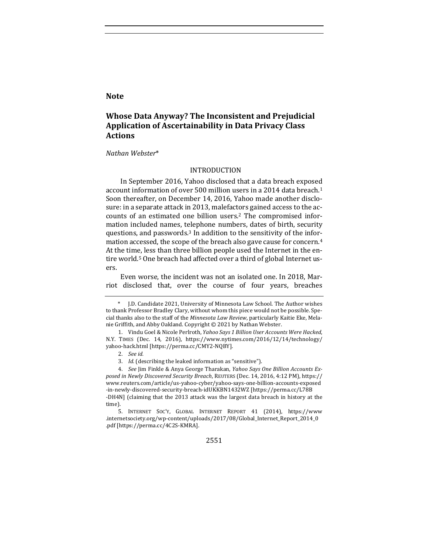# **Note**

# **Whose Data Anyway? The Inconsistent and Prejudicial Application of Ascertainability in Data Privacy Class Actions**

#### *Nathan Webster*\*

### INTRODUCTION

In September 2016, Yahoo disclosed that a data breach exposed account information of over 500 million users in a 2014 data breach.<sup>1</sup> Soon thereafter, on December 14, 2016, Yahoo made another disclosure: in a separate attack in 2013, malefactors gained access to the accounts of an estimated one billion users.<sup>2</sup> The compromised information included names, telephone numbers, dates of birth, security questions, and passwords.<sup>3</sup> In addition to the sensitivity of the information accessed, the scope of the breach also gave cause for concern.<sup>4</sup> At the time, less than three billion people used the Internet in the entire world.<sup>5</sup> One breach had affected over a third of global Internet users. 

Even worse, the incident was not an isolated one. In 2018, Marriot disclosed that, over the course of four years, breaches

2551

J.D. Candidate 2021, University of Minnesota Law School. The Author wishes to thank Professor Bradley Clary, without whom this piece would not be possible. Special thanks also to the staff of the *Minnesota Law Review*, particularly Kaitie Eke, Melanie Griffith, and Abby Oakland. Copyright © 2021 by Nathan Webster.

<sup>1.</sup> Vindu Goel & Nicole Perlroth, *Yahoo Says 1 Billion User Accounts Were Hacked*, N.Y. TIMES (Dec. 14, 2016), https://www.nytimes.com/2016/12/14/technology/ yahoo-hack.html [https://perma.cc/CMY2-NQBY].

<sup>2.</sup> *See id.*

<sup>3.</sup> Id. (describing the leaked information as "sensitive").

<sup>4.</sup> See Jim Finkle & Anya George Tharakan, *Yahoo Says One Billion Accounts Ex*posed in Newly Discovered Security Breach, REUTERS (Dec. 14, 2016, 4:12 PM), https:// www.reuters.com/article/us-yahoo-cyber/yahoo-says-one-billion-accounts-exposed -in-newly-discovered-security-breach-idUKKBN1432WZ [https://perma.cc/L78B -DH4N] (claiming that the 2013 attack was the largest data breach in history at the time).

<sup>5.</sup> INTERNET SOC'Y, GLOBAL INTERNET REPORT 41 (2014), https://www .internetsociety.org/wp-content/uploads/2017/08/Global\_Internet\_Report\_2014\_0 .pdf [https://perma.cc/4C2S-KMRA].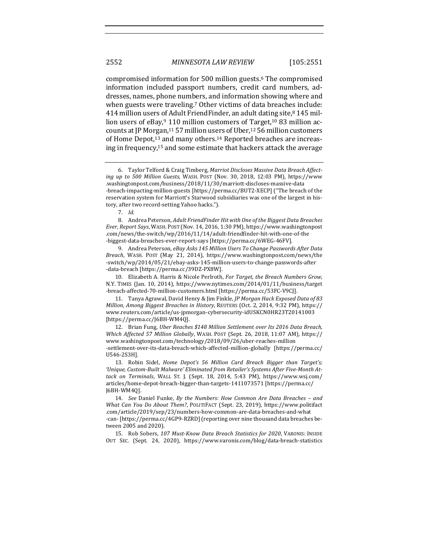compromised information for 500 million guests.<sup>6</sup> The compromised information included passport numbers, credit card numbers, addresses, names, phone numbers, and information showing where and when guests were traveling.<sup>7</sup> Other victims of data breaches include: 414 million users of Adult FriendFinder, an adult dating site, $8$  145 million users of eBay,  $9$  110 million customers of Target,  $10$  83 million accounts at JP Morgan, $11\,57$  million users of Uber, $12\,56$  million customers of Home Depot,<sup>13</sup> and many others.<sup>14</sup> Reported breaches are increasing in frequency,<sup>15</sup> and some estimate that hackers attack the average

9. Andrea Peterson, eBay Asks 145 Million Users To Change Passwords After Data *Breach*, WASH. POST (May 21, 2014), https://www.washingtonpost.com/news/the -switch/wp/2014/05/21/ebay-asks-145-million-users-to-change-passwords-after -data-breach [https://perma.cc/39DZ-PX8W].

10. Elizabeth A. Harris & Nicole Perlroth, *For Target, the Breach Numbers Grow*, N.Y. TIMES (Jan. 10, 2014), https://www.nytimes.com/2014/01/11/business/target -breach-affected-70-million-customers.html [https://perma.cc/53FC-V9CJ].

11. Tanya Agrawal, David Henry & Jim Finkle, *JP Morgan Hack Exposed Data of 83 Million, Among Biggest Breaches in History, REUTERS (Oct. 2, 2014, 9:32 PM), https://* www.reuters.com/article/us-jpmorgan-cybersecurity-idUSKCN0HR23T20141003 [https://perma.cc/J6BH-WM4Q].

12. Brian Fung, Uber Reaches \$148 Million Settlement over Its 2016 Data Breach, Which Affected 57 Million Globally, WASH. POST (Sept. 26, 2018, 11:07 AM), https:// www.washingtonpost.com/technology/2018/09/26/uber-reaches-million -settlement-over-its-data-breach-which-affected-million-globally [https://perma.cc/ U546-2S3H]. 

13. Robin Sidel, *Home Depot's* 56 Million Card Breach Bigger than Target's; 'Unique, Custom-Built Malware' Eliminated from Retailer's Systems After Five-Month Attack on Terminals, WALL ST. J. (Sept. 18, 2014, 5:43 PM), https://www.wsj.com/ articles/home-depot-breach-bigger-than-targets-1411073571 [https://perma.cc/ J6BH-WM4Q].

14. *See Daniel Funke, By the Numbers: How Common Are Data Breaches - and What Can You Do About Them?*, POLITIFACT (Sept. 23, 2019), https://www.politifact .com/article/2019/sep/23/numbers-how-common-are-data-breaches-and-what -can- [https://perma.cc/4GP9-RZRD] (reporting over nine thousand data breaches between 2005 and 2020). 

15. Rob Sobers, 107 Must-Know Data Breach Statistics for 2020, VARONIS: INSIDE OUT SEC. (Sept. 24, 2020), https://www.varonis.com/blog/data-breach-statistics

<sup>6.</sup> Taylor Telford & Craig Timberg, Marriot Discloses Massive Data Breach Affect*ing up to 500 Million Guests*, WASH. POST (Nov. 30, 2018, 12:03 PM), https://www .washingtonpost.com/business/2018/11/30/marriott-discloses-massive-data -breach-impacting-million-guests [https://perma.cc/BUT2-XECP] ("The breach of the reservation system for Marriott's Starwood subsidiaries was one of the largest in history, after two record-setting Yahoo hacks.").

<sup>7.</sup> *Id.*

<sup>8.</sup> Andrea Peterson, *Adult FriendFinder Hit with One of the Biggest Data Breaches Ever, Report Says, WASH. POST (Nov. 14, 2016, 1:30 PM), https://www.washingtonpost* .com/news/the-switch/wp/2016/11/14/adult-friendfinder-hit-with-one-of-the -biggest-data-breaches-ever-report-says [https://perma.cc/6WEG-46FV].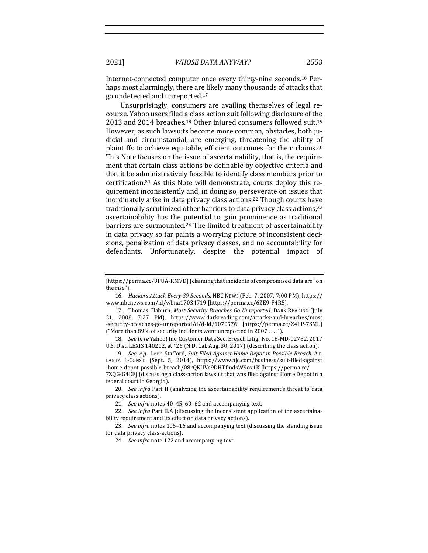Internet-connected computer once every thirty-nine seconds.<sup>16</sup> Perhaps most alarmingly, there are likely many thousands of attacks that go undetected and unreported.<sup>17</sup>

Unsurprisingly, consumers are availing themselves of legal recourse. Yahoo users filed a class action suit following disclosure of the 2013 and 2014 breaches.<sup>18</sup> Other injured consumers followed suit.<sup>19</sup> However, as such lawsuits become more common, obstacles, both judicial and circumstantial, are emerging, threatening the ability of plaintiffs to achieve equitable, efficient outcomes for their claims.<sup>20</sup> This Note focuses on the issue of ascertainability, that is, the requirement that certain class actions be definable by objective criteria and that it be administratively feasible to identify class members prior to certification.<sup>21</sup> As this Note will demonstrate, courts deploy this requirement inconsistently and, in doing so, perseverate on issues that inordinately arise in data privacy class actions.<sup>22</sup> Though courts have traditionally scrutinized other barriers to data privacy class actions,<sup>23</sup> ascertainability has the potential to gain prominence as traditional barriers are surmounted.<sup>24</sup> The limited treatment of ascertainability in data privacy so far paints a worrying picture of inconsistent decisions, penalization of data privacy classes, and no accountability for defendants. Unfortunately, despite the potential impact of

16. *Hackers Attack Every 39 Seconds*, NBC NEWS (Feb. 7, 2007, 7:00 PM), https:// www.nbcnews.com/id/wbna17034719 [https://perma.cc/6ZE9-F4R5].

17. Thomas Claburn, *Most Security Breaches Go Unreported*, DARK READING (July 31, 2008, 7:27 PM), https://www.darkreading.com/attacks-and-breaches/most -security-breaches-go-unreported/d/d-id/1070576 [https://perma.cc/X4LP-7SML] ("More than 89% of security incidents went unreported in 2007 ....").

18. *See In re* Yahoo! Inc. Customer Data Sec. Breach Litig., No. 16-MD-02752, 2017 U.S. Dist. LEXIS 140212, at \*26 (N.D. Cal. Aug. 30, 2017) (describing the class action).

19. *See, e.g.*, Leon Stafford, Suit Filed Against Home Depot in Possible Breach, AT-LANTA J.-CONST. (Sept. 5, 2014), https://www.ajc.com/business/suit-filed-against -home-depot-possible-breach/08rQKUVc9DHTfmdsW9ox1K [https://perma.cc/ 7ZQG-G4EF] (discussing a class-action lawsuit that was filed against Home Depot in a federal court in Georgia).

20. *See infra* Part II (analyzing the ascertainability requirement's threat to data privacy class actions).

21. *See infra* notes 40-45, 60-62 and accompanying text.

22. *See infra* Part II.A (discussing the inconsistent application of the ascertainability requirement and its effect on data privacy actions).

23. *See infra* notes 105-16 and accompanying text (discussing the standing issue for data privacy class-actions).

24. *See infra* note 122 and accompanying text.

<sup>[</sup>https://perma.cc/9PUA-RMVD] (claiming that incidents of compromised data are "on the rise").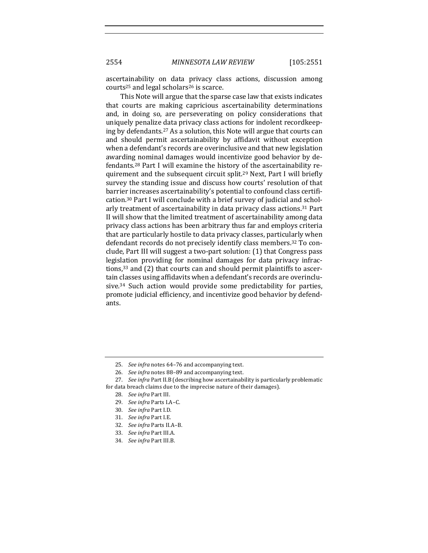ascertainability on data privacy class actions, discussion among courts<sup>25</sup> and legal scholars<sup>26</sup> is scarce.

This Note will argue that the sparse case law that exists indicates that courts are making capricious ascertainability determinations and, in doing so, are perseverating on policy considerations that uniquely penalize data privacy class actions for indolent recordkeeping by defendants.<sup>27</sup> As a solution, this Note will argue that courts can and should permit ascertainability by affidavit without exception when a defendant's records are overinclusive and that new legislation awarding nominal damages would incentivize good behavior by defendants.<sup>28</sup> Part I will examine the history of the ascertainability requirement and the subsequent circuit split.<sup>29</sup> Next, Part I will briefly survey the standing issue and discuss how courts' resolution of that barrier increases ascertainability's potential to confound class certification.<sup>30</sup> Part I will conclude with a brief survey of judicial and scholarly treatment of ascertainability in data privacy class actions.<sup>31</sup> Part II will show that the limited treatment of ascertainability among data privacy class actions has been arbitrary thus far and employs criteria that are particularly hostile to data privacy classes, particularly when defendant records do not precisely identify class members.<sup>32</sup> To conclude, Part III will suggest a two-part solution: (1) that Congress pass legislation providing for nominal damages for data privacy infractions, $33$  and (2) that courts can and should permit plaintiffs to ascertain classes using affidavits when a defendant's records are overinclusive.<sup>34</sup> Such action would provide some predictability for parties, promote judicial efficiency, and incentivize good behavior by defendants. 

<sup>25.</sup> *See infra* notes 64-76 and accompanying text.

<sup>26.</sup> *See infra* notes 88-89 and accompanying text.

<sup>27.</sup> *See infra* Part II.B (describing how ascertainability is particularly problematic for data breach claims due to the imprecise nature of their damages).

<sup>28.</sup> *See infra* Part III.

<sup>29.</sup> *See infra Parts I.A-C.* 

<sup>30.</sup> *See infra Part I.D.* 

<sup>31.</sup> *See infra Part I.E.* 

<sup>32.</sup> *See infra* Parts II.A–B.

<sup>33.</sup> See infra Part III.A.

<sup>34.</sup> *See infra Part III.B.*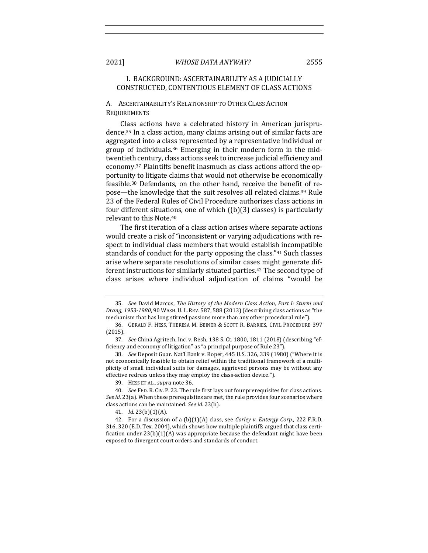# I. BACKGROUND: ASCERTAINABILITY AS A JUDICIALLY CONSTRUCTED, CONTENTIOUS ELEMENT OF CLASS ACTIONS

### A. ASCERTAINABILITY'S RELATIONSHIP TO OTHER CLASS ACTION **REQUIREMENTS**

Class actions have a celebrated history in American jurisprudence.<sup>35</sup> In a class action, many claims arising out of similar facts are aggregated into a class represented by a representative individual or group of individuals.<sup>36</sup> Emerging in their modern form in the midtwentieth century, class actions seek to increase judicial efficiency and economy.<sup>37</sup> Plaintiffs benefit inasmuch as class actions afford the opportunity to litigate claims that would not otherwise be economically feasible.<sup>38</sup> Defendants, on the other hand, receive the benefit of repose—the knowledge that the suit resolves all related claims.<sup>39</sup> Rule 23 of the Federal Rules of Civil Procedure authorizes class actions in four different situations, one of which  $([b](3)$  classes) is particularly relevant to this Note.<sup>40</sup>

The first iteration of a class action arises where separate actions would create a risk of "inconsistent or varying adjudications with respect to individual class members that would establish incompatible standards of conduct for the party opposing the class."<sup>41</sup> Such classes arise where separate resolutions of similar cases might generate different instructions for similarly situated parties.<sup>42</sup> The second type of class arises where individual adjudication of claims "would be

<sup>35.</sup> See David Marcus, The History of the Modern Class Action, Part I: Sturm und *Drang, 1953-1980, 90 WASH. U. L. REV. 587, 588 (2013)* (describing class actions as "the mechanism that has long stirred passions more than any other procedural rule").

<sup>36.</sup> GERALD F. HESS, THERESA M. BEINER & SCOTT R. BARRIES, CIVIL PROCEDURE 397 (2015).

<sup>37.</sup> *See* China Agritech, Inc. v. Resh, 138 S. Ct. 1800, 1811 (2018) (describing "efficiency and economy of litigation" as "a principal purpose of Rule 23").

<sup>38.</sup> *See* Deposit Guar. Nat'l Bank v. Roper, 445 U.S. 326, 339 (1980) ("Where it is not economically feasible to obtain relief within the traditional framework of a multiplicity of small individual suits for damages, aggrieved persons may be without any effective redress unless they may employ the class-action device.").

<sup>39.</sup> HESS ET AL., *supra* note 36.

<sup>40.</sup> *See* FED. R. CIV. P. 23. The rule first lays out four prerequisites for class actions. *See id.* 23(a). When these prerequisites are met, the rule provides four scenarios where class actions can be maintained. See id. 23(b).

<sup>41.</sup> *Id.* 23(b)(1)(A).

<sup>42.</sup> For a discussion of a  $(b)(1)(A)$  class, see *Corley v. Entergy Corp.*, 222 F.R.D. 316, 320 (E.D. Tex. 2004), which shows how multiple plaintiffs argued that class certification under  $23(b)(1)(A)$  was appropriate because the defendant might have been exposed to divergent court orders and standards of conduct.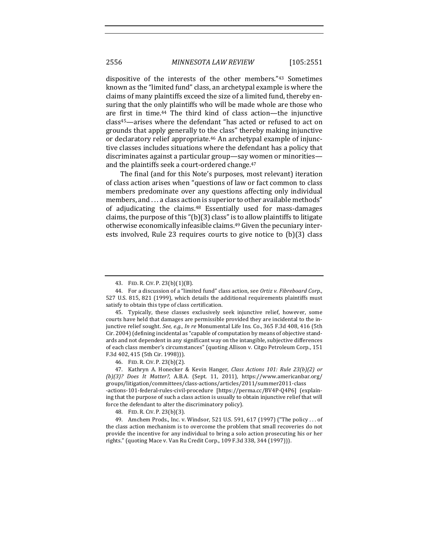dispositive of the interests of the other members."<sup>43</sup> Sometimes known as the "limited fund" class, an archetypal example is where the claims of many plaintiffs exceed the size of a limited fund, thereby ensuring that the only plaintiffs who will be made whole are those who are first in time.<sup>44</sup> The third kind of class action—the injunctive class<sup>45</sup>—arises where the defendant "has acted or refused to act on grounds that apply generally to the class" thereby making injunctive or declaratory relief appropriate.<sup>46</sup> An archetypal example of injunctive classes includes situations where the defendant has a policy that discriminates against a particular group—say women or minorities and the plaintiffs seek a court-ordered change.<sup>47</sup>

The final (and for this Note's purposes, most relevant) iteration of class action arises when "questions of law or fact common to class members predominate over any questions affecting only individual members, and ... a class action is superior to other available methods" of adjudicating the claims.<sup>48</sup> Essentially used for mass-damages claims, the purpose of this " $(b)(3)$  class" is to allow plaintiffs to litigate otherwise economically infeasible claims.<sup>49</sup> Given the pecuniary interests involved, Rule 23 requires courts to give notice to  $(b)(3)$  class

46. FED. R. CIV. P. 23(b)(2).

<sup>43.</sup> FED. R. CIV. P. 23(b)(1)(B).

<sup>44.</sup> For a discussion of a "limited fund" class action, see Ortiz v. Fibreboard Corp., 527 U.S. 815, 821 (1999), which details the additional requirements plaintiffs must satisfy to obtain this type of class certification.

<sup>45.</sup> Typically, these classes exclusively seek injunctive relief, however, some courts have held that damages are permissible provided they are incidental to the injunctive relief sought. See, e.g., In re Monumental Life Ins. Co., 365 F.3d 408, 416 (5th Cir. 2004) (defining incidental as "capable of computation by means of objective standards and not dependent in any significant way on the intangible, subjective differences of each class member's circumstances" (quoting Allison v. Citgo Petroleum Corp., 151 F.3d 402, 415 (5th Cir. 1998))).

<sup>47.</sup> Kathryn A. Honecker & Kevin Hanger, *Class Actions 101: Rule 23(b)(2)* or *(b)(3)? Does It Matter?*, A.B.A. (Sept. 11, 2011), https://www.americanbar.org/ groups/litigation/committees/class-actions/articles/2011/summer2011-class -actions-101-federal-rules-civil-procedure [https://perma.cc/BV4P-Q4P6] (explaining that the purpose of such a class action is usually to obtain injunctive relief that will force the defendant to alter the discriminatory policy).

<sup>48.</sup> FED. R. CIV. P. 23(b)(3).

<sup>49.</sup> Amchem Prods., Inc. v. Windsor, 521 U.S. 591, 617 (1997) ("The policy ... of the class action mechanism is to overcome the problem that small recoveries do not provide the incentive for any individual to bring a solo action prosecuting his or her rights." (quoting Mace v. Van Ru Credit Corp., 109 F.3d 338, 344 (1997))).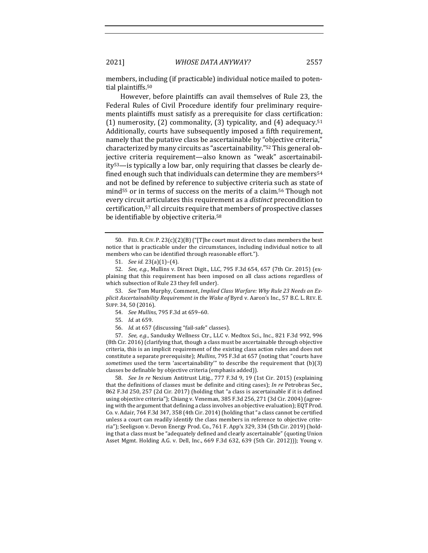members, including (if practicable) individual notice mailed to potential plaintiffs.<sup>50</sup>

However, before plaintiffs can avail themselves of Rule 23, the Federal Rules of Civil Procedure identify four preliminary requirements plaintiffs must satisfy as a prerequisite for class certification: (1) numerosity, (2) commonality, (3) typicality, and (4) adequacy.<sup>51</sup> Additionally, courts have subsequently imposed a fifth requirement, namely that the putative class be ascertainable by "objective criteria," characterized by many circuits as "ascertainability."<sup>52</sup> This general objective criteria requirement—also known as "weak" ascertainabil $ity<sup>53</sup>$ —is typically a low bar, only requiring that classes be clearly defined enough such that individuals can determine they are members<sup>54</sup> and not be defined by reference to subjective criteria such as state of mind<sup>55</sup> or in terms of success on the merits of a claim.<sup>56</sup> Though not every circuit articulates this requirement as a *distinct* precondition to certification,<sup>57</sup> all circuits require that members of prospective classes be identifiable by objective criteria.<sup>58</sup>

53. See Tom Murphy, Comment, *Implied Class Warfare: Why Rule 23 Needs an Explicit Ascertainability Requirement in the Wake of Byrd v. Aaron's Inc., 57 B.C. L. REV. E.* SUPP. 34, 50 (2016).

- 54. *See Mullins*, 795 F.3d at 659-60.
- 55. *Id.* at 659.
- 56. *Id.* at 657 (discussing "fail-safe" classes).

57. *See, e.g.*, Sandusky Wellness Ctr., LLC v. Medtox Sci., Inc., 821 F.3d 992, 996 (8th Cir. 2016) (clarifying that, though a class must be ascertainable through objective criteria, this is an implicit requirement of the existing class action rules and does not constitute a separate prerequisite); *Mullins*, 795 F.3d at 657 (noting that "courts have *sometimes* used the term 'ascertainability'" to describe the requirement that (b)(3) classes be definable by objective criteria (emphasis added)).

58. *See In re* Nexium Antitrust Litig., 777 F.3d 9, 19 (1st Cir. 2015) (explaining that the definitions of classes must be definite and citing cases); *In re* Petrobras Sec., 862 F.3d 250, 257 (2d Cir. 2017) (holding that "a class is ascertainable if it is defined using objective criteria"); Chiang v. Veneman, 385 F.3d 256, 271 (3d Cir. 2004) (agreeing with the argument that defining a class involves an objective evaluation); EQT Prod. Co. v. Adair,  $764$  F.3d 347, 358 (4th Cir. 2014) (holding that "a class cannot be certified unless a court can readily identify the class members in reference to objective criteria"); Seeligson v. Devon Energy Prod. Co., 761 F. App'x 329, 334 (5th Cir. 2019) (holding that a class must be "adequately defined and clearly ascertainable" (quoting Union Asset Mgmt. Holding A.G. v. Dell, Inc., 669 F.3d 632, 639 (5th Cir. 2012))); Young v.

<sup>50.</sup> FED. R. CIV. P. 23(c)(2)(B) ("[T]he court must direct to class members the best notice that is practicable under the circumstances, including individual notice to all members who can be identified through reasonable effort.").

<sup>51.</sup> *See id.* 23(a)(1)–(4). 

<sup>52.</sup> *See, e.g.*, Mullins v. Direct Digit., LLC, 795 F.3d 654, 657 (7th Cir. 2015) (explaining that this requirement has been imposed on all class actions regardless of which subsection of Rule 23 they fell under).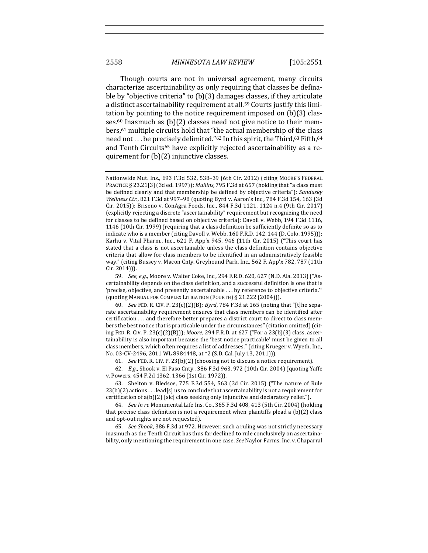Though courts are not in universal agreement, many circuits characterize ascertainability as only requiring that classes be definable by "objective criteria" to  $(b)(3)$  damages classes, if they articulate a distinct ascertainability requirement at all.<sup>59</sup> Courts justify this limitation by pointing to the notice requirement imposed on  $(b)(3)$  classes.<sup>60</sup> Inasmuch as  $(b)(2)$  classes need not give notice to their members,<sup>61</sup> multiple circuits hold that "the actual membership of the class need not . . . be precisely delimited." $^{62}$  In this spirit, the Third, $^{63}$  Fifth, $^{64}$ and Tenth Circuits<sup>65</sup> have explicitly rejected ascertainability as a requirement for  $(b)(2)$  injunctive classes.

61. *See* FED. R. CIV. P. 23(b)(2) (choosing not to discuss a notice requirement).

62. *E.g.*, Shook v. El Paso Cnty., 386 F.3d 963, 972 (10th Cir. 2004) (quoting Yaffe v. Powers, 454 F.2d 1362, 1366 (1st Cir. 1972)).

63. Shelton v. Bledsoe, 775 F.3d 554, 563 (3d Cir. 2015) ("The nature of Rule  $23(b)(2)$  actions . . . lead[s] us to conclude that ascertainability is not a requirement for certification of  $a(b)(2)$  [sic] class seeking only injunctive and declaratory relief.").

64. *See In re* Monumental Life Ins. Co., 365 F.3d 408, 413 (5th Cir. 2004) (holding that precise class definition is not a requirement when plaintiffs plead a  $(b)(2)$  class and opt-out rights are not requested).

65. *See Shook*, 386 F.3d at 972. However, such a ruling was not strictly necessary inasmuch as the Tenth Circuit has thus far declined to rule conclusively on ascertainability, only mentioning the requirement in one case. *See* Naylor Farms, Inc. v. Chaparral

Nationwide Mut. Ins., 693 F.3d 532, 538-39 (6th Cir. 2012) (citing MOORE'S FEDERAL PRACTICE § 23.21[3] (3d ed. 1997)); *Mullins*, 795 F.3d at 657 (holding that "a class must be defined clearly and that membership be defined by objective criteria"); *Sandusky Wellness Ctr.*, 821 F.3d at 997-98 (quoting Byrd v. Aaron's Inc., 784 F.3d 154, 163 (3d Cir. 2015)); Briseno v. ConAgra Foods, Inc., 844 F.3d 1121, 1124 n.4 (9th Cir. 2017) (explicitly rejecting a discrete "ascertainability" requirement but recognizing the need for classes to be defined based on objective criteria); Davoll v. Webb, 194 F.3d 1116, 1146 (10th Cir. 1999) (requiring that a class definition be sufficiently definite so as to indicate who is a member (citing Davoll v. Webb, 160 F.R.D. 142, 144 (D. Colo. 1995))); Karhu v. Vital Pharm., Inc.,  $621$  F. App'x  $945$ ,  $946$  (11th Cir. 2015) ("This court has stated that a class is not ascertainable unless the class definition contains objective criteria that allow for class members to be identified in an administratively feasible way." (citing Bussey v. Macon Cnty. Greyhound Park, Inc., 562 F. App'x 782, 787 (11th Cir. 2014))).

<sup>59.</sup> *See, e.g.*, Moore v. Walter Coke, Inc., 294 F.R.D. 620, 627 (N.D. Ala. 2013) ("Ascertainability depends on the class definition, and a successful definition is one that is 'precise, objective, and presently ascertainable ... by reference to objective criteria." (quoting MANUAL FOR COMPLEX LITIGATION (FOURTH) § 21.222 (2004))).

<sup>60.</sup> *See* FED. R. CIV. P. 23(c)(2)(B); *Byrd*, 784 F.3d at 165 (noting that "[t]he separate ascertainability requirement ensures that class members can be identified after certification ... and therefore better prepares a district court to direct to class members the best notice that is practicable under the circumstances" (citation omitted) (citing FED. R. CIV. P. 23(c)(2)(B))); *Moore*, 294 F.R.D. at 627 ("For a 23(b)(3) class, ascertainability is also important because the 'best notice practicable' must be given to all class members, which often requires a list of addresses." (citing Krueger v. Wyeth, Inc., No. 03-CV-2496, 2011 WL 8984448, at \*2 (S.D. Cal. July 13, 2011))).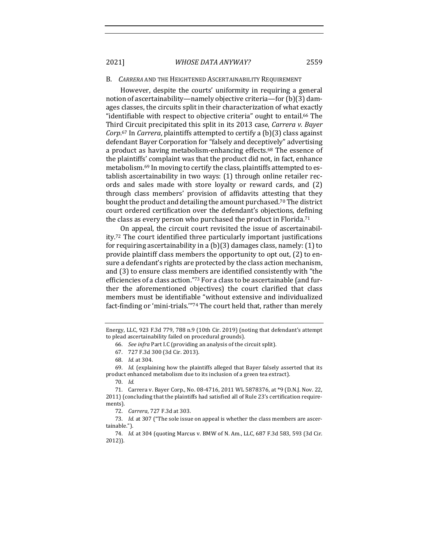#### B. *CARRERA* AND THE HEIGHTENED ASCERTAINABILITY REQUIREMENT

However, despite the courts' uniformity in requiring a general notion of ascertainability—namely objective criteria—for  $(b)(3)$  damages classes, the circuits split in their characterization of what exactly "identifiable with respect to objective criteria" ought to entail.<sup>66</sup> The Third Circuit precipitated this split in its 2013 case, *Carrera v. Bayer* Corp.<sup>67</sup> In *Carrera*, plaintiffs attempted to certify a (b)(3) class against defendant Bayer Corporation for "falsely and deceptively" advertising a product as having metabolism-enhancing effects.<sup>68</sup> The essence of the plaintiffs' complaint was that the product did not, in fact, enhance metabolism.<sup>69</sup> In moving to certify the class, plaintiffs attempted to establish ascertainability in two ways:  $(1)$  through online retailer records and sales made with store loyalty or reward cards, and  $(2)$ through class members' provision of affidavits attesting that they bought the product and detailing the amount purchased.<sup>70</sup> The district court ordered certification over the defendant's objections, defining the class as every person who purchased the product in Florida.<sup>71</sup>

On appeal, the circuit court revisited the issue of ascertainability.<sup>72</sup> The court identified three particularly important justifications for requiring ascertainability in a  $(b)(3)$  damages class, namely:  $(1)$  to provide plaintiff class members the opportunity to opt out,  $(2)$  to ensure a defendant's rights are protected by the class action mechanism, and (3) to ensure class members are identified consistently with "the efficiencies of a class action."73 For a class to be ascertainable (and further the aforementioned objectives) the court clarified that class members must be identifiable "without extensive and individualized fact-finding or 'mini-trials."<sup>74</sup> The court held that, rather than merely

Energy, LLC, 923 F.3d 779, 788 n.9 (10th Cir. 2019) (noting that defendant's attempt to plead ascertainability failed on procedural grounds).

<sup>66.</sup> *See infra* Part I.C (providing an analysis of the circuit split).

<sup>67.</sup> 727 F.3d 300 (3d Cir. 2013).

<sup>68.</sup> *Id.* at 304. 

<sup>69.</sup> *Id.* (explaining how the plaintiffs alleged that Bayer falsely asserted that its product enhanced metabolism due to its inclusion of a green tea extract).

<sup>70.</sup> *Id.*

<sup>71.</sup> Carrera v. Bayer Corp., No. 08-4716, 2011 WL 5878376, at \*9 (D.N.J. Nov. 22, 2011) (concluding that the plaintiffs had satisfied all of Rule 23's certification requirements).

<sup>72.</sup> *Carrera*, 727 F.3d at 303.

<sup>73.</sup> *Id.* at 307 ("The sole issue on appeal is whether the class members are ascertainable."). 

<sup>74.</sup> *Id.* at 304 (quoting Marcus v. BMW of N. Am., LLC, 687 F.3d 583, 593 (3d Cir. 2012)).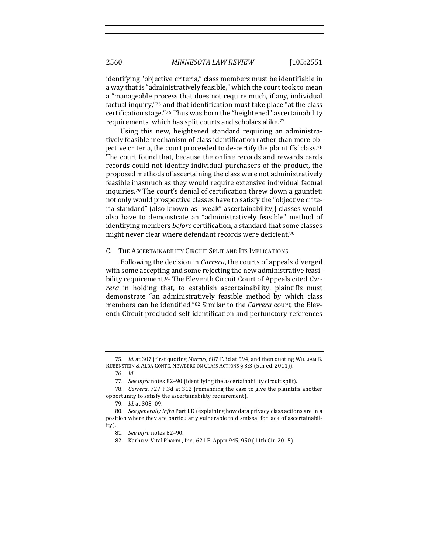identifying "objective criteria," class members must be identifiable in a way that is "administratively feasible," which the court took to mean a "manageable process that does not require much, if any, individual factual inquiry,"<sup>75</sup> and that identification must take place "at the class certification stage."<sup>76</sup> Thus was born the "heightened" ascertainability requirements, which has split courts and scholars alike.<sup>77</sup>

Using this new, heightened standard requiring an administratively feasible mechanism of class identification rather than mere objective criteria, the court proceeded to de-certify the plaintiffs' class.<sup>78</sup> The court found that, because the online records and rewards cards records could not identify individual purchasers of the product, the proposed methods of ascertaining the class were not administratively feasible inasmuch as they would require extensive individual factual inquiries.<sup>79</sup> The court's denial of certification threw down a gauntlet: not only would prospective classes have to satisfy the "objective criteria standard" (also known as "weak" ascertainability,) classes would also have to demonstrate an "administratively feasible" method of identifying members *before* certification, a standard that some classes might never clear where defendant records were deficient.<sup>80</sup>

#### C. THE ASCERTAINABILITY CIRCUIT SPLIT AND ITS IMPLICATIONS

Following the decision in *Carrera*, the courts of appeals diverged with some accepting and some rejecting the new administrative feasibility requirement.<sup>81</sup> The Eleventh Circuit Court of Appeals cited *Carrera* in holding that, to establish ascertainability, plaintiffs must demonstrate "an administratively feasible method by which class members can be identified."<sup>82</sup> Similar to the *Carrera* court, the Eleventh Circuit precluded self-identification and perfunctory references

<sup>75.</sup> *Id.* at 307 (first quoting *Marcus*, 687 F.3d at 594; and then quoting WILLIAM B. RUBENSTEIN & ALBA CONTE, NEWBERG ON CLASS ACTIONS  $\S 3:3$  (5th ed. 2011)).

<sup>76.</sup> *Id.*

<sup>77.</sup> *See infra* notes 82-90 (identifying the ascertainability circuit split).

<sup>78.</sup> *Carrera*, 727 F.3d at 312 (remanding the case to give the plaintiffs another opportunity to satisfy the ascertainability requirement).

<sup>79.</sup> *Id.* at 308–09.

<sup>80.</sup> *See generally infra* Part I.D (explaining how data privacy class actions are in a position where they are particularly vulnerable to dismissal for lack of ascertainability). 

<sup>81.</sup> *See infra* notes 82-90.

<sup>82.</sup> Karhu v. Vital Pharm., Inc., 621 F. App'x 945, 950 (11th Cir. 2015).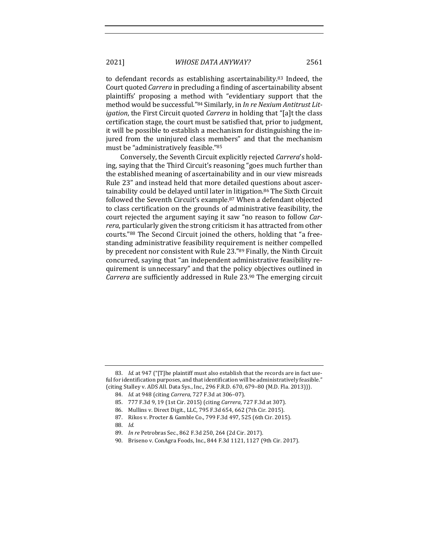to defendant records as establishing ascertainability.<sup>83</sup> Indeed, the Court quoted *Carrera* in precluding a finding of ascertainability absent plaintiffs' proposing a method with "evidentiary support that the method would be successful."<sup>84</sup> Similarly, in *In re Nexium Antitrust Litigation*, the First Circuit quoted *Carrera* in holding that "[a]t the class certification stage, the court must be satisfied that, prior to judgment, it will be possible to establish a mechanism for distinguishing the injured from the uninjured class members" and that the mechanism must be "administratively feasible."85

Conversely, the Seventh Circuit explicitly rejected Carrera's holding, saying that the Third Circuit's reasoning "goes much further than the established meaning of ascertainability and in our view misreads Rule 23" and instead held that more detailed questions about ascertainability could be delayed until later in litigation.<sup>86</sup> The Sixth Circuit followed the Seventh Circuit's example.<sup>87</sup> When a defendant objected to class certification on the grounds of administrative feasibility, the court rejected the argument saying it saw "no reason to follow *Carrera*, particularly given the strong criticism it has attracted from other courts."88 The Second Circuit joined the others, holding that "a freestanding administrative feasibility requirement is neither compelled by precedent nor consistent with Rule 23."89 Finally, the Ninth Circuit concurred, saying that "an independent administrative feasibility requirement is unnecessary" and that the policy objectives outlined in *Carrera* are sufficiently addressed in Rule 23.90 The emerging circuit

88. *Id.*

<sup>83.</sup> *Id.* at 947 ("[T]he plaintiff must also establish that the records are in fact useful for identification purposes, and that identification will be administratively feasible." (citing Stalley v. ADS All. Data Sys., Inc., 296 F.R.D. 670, 679-80 (M.D. Fla. 2013))).

<sup>84.</sup> *Id.* at 948 (citing *Carrera*, 727 F.3d at 306-07).

<sup>85. 777</sup> F.3d 9, 19 (1st Cir. 2015) (citing *Carrera*, 727 F.3d at 307).

<sup>86.</sup> Mullins v. Direct Digit., LLC, 795 F.3d 654, 662 (7th Cir. 2015).

<sup>87.</sup> Rikos v. Procter & Gamble Co., 799 F.3d 497, 525 (6th Cir. 2015).

<sup>89.</sup> *In re* Petrobras Sec., 862 F.3d 250, 264 (2d Cir. 2017).

<sup>90.</sup> Briseno v. ConAgra Foods, Inc., 844 F.3d 1121, 1127 (9th Cir. 2017).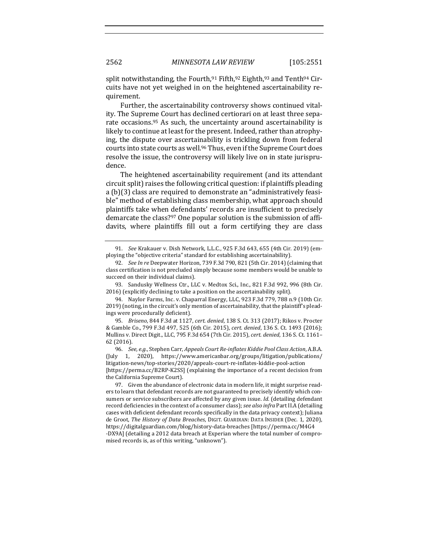split notwithstanding, the Fourth, <sup>91</sup> Fifth, <sup>92</sup> Eighth, <sup>93</sup> and Tenth <sup>94</sup> Circuits have not yet weighed in on the heightened ascertainability requirement. 

Further, the ascertainability controversy shows continued vitality. The Supreme Court has declined certiorari on at least three separate occasions.<sup>95</sup> As such, the uncertainty around ascertainability is likely to continue at least for the present. Indeed, rather than atrophying, the dispute over ascertainability is trickling down from federal courts into state courts as well.<sup>96</sup> Thus, even if the Supreme Court does resolve the issue, the controversy will likely live on in state jurisprudence. 

The heightened ascertainability requirement (and its attendant circuit split) raises the following critical question: if plaintiffs pleading a (b)(3) class are required to demonstrate an "administratively feasible" method of establishing class membership, what approach should plaintiffs take when defendants' records are insufficient to precisely demarcate the class?<sup>97</sup> One popular solution is the submission of affidavits, where plaintiffs fill out a form certifying they are class

93. Sandusky Wellness Ctr., LLC v. Medtox Sci., Inc., 821 F.3d 992, 996 (8th Cir. 2016) (explicitly declining to take a position on the ascertainability split).

94. Naylor Farms, Inc. v. Chaparral Energy, LLC, 923 F.3d 779, 788 n.9 (10th Cir. 2019) (noting, in the circuit's only mention of ascertainability, that the plaintiff's pleadings were procedurally deficient).

95. *Briseno*, 844 F.3d at 1127, *cert. denied*, 138 S. Ct. 313 (2017); Rikos v. Procter & Gamble Co., 799 F.3d 497, 525 (6th Cir. 2015), *cert. denied*, 136 S. Ct. 1493 (2016); Mullins v. Direct Digit., LLC, 795 F.3d 654 (7th Cir. 2015), cert. denied, 136 S. Ct. 1161-62 (2016).

96. *See, e.g.*, Stephen Carr, *Appeals Court Re-inflates Kiddie Pool Class Action*, A.B.A. (July 1, 2020), https://www.americanbar.org/groups/litigation/publications/ litigation-news/top-stories/2020/appeals-court-re-inflates-kiddie-pool-action [https://perma.cc/B2RP-K2SS] (explaining the importance of a recent decision from the California Supreme Court).

97. Given the abundance of electronic data in modern life, it might surprise readers to learn that defendant records are not guaranteed to precisely identify which consumers or service subscribers are affected by any given issue. *Id.* (detailing defendant record deficiencies in the context of a consumer class); *see also infra* Part II.A (detailing cases with deficient defendant records specifically in the data privacy context); Juliana de Groot, *The History of Data Breaches*, DIGIT. GUARDIAN: DATA INSIDER (Dec. 1, 2020), https://digitalguardian.com/blog/history-data-breaches [https://perma.cc/M4G4 -DX9A] (detailing a 2012 data breach at Experian where the total number of compromised records is, as of this writing, "unknown").

<sup>91.</sup> *See* Krakauer v. Dish Network, L.L.C., 925 F.3d 643, 655 (4th Cir. 2019) (employing the "objective criteria" standard for establishing ascertainability).

<sup>92.</sup> *See In re* Deepwater Horizon, 739 F.3d 790, 821 (5th Cir. 2014) (claiming that class certification is not precluded simply because some members would be unable to succeed on their individual claims).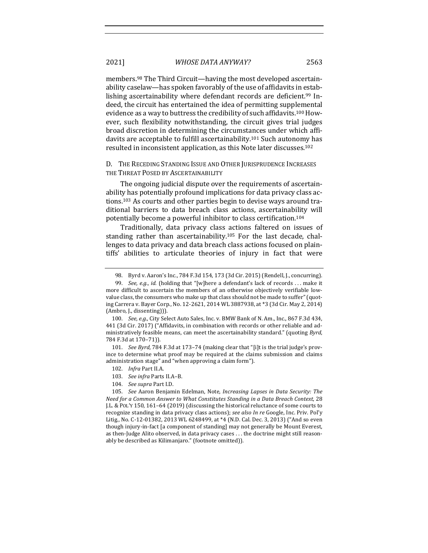members.<sup>98</sup> The Third Circuit—having the most developed ascertainability caselaw—has spoken favorably of the use of affidavits in establishing ascertainability where defendant records are deficient.<sup>99</sup> Indeed, the circuit has entertained the idea of permitting supplemental evidence as a way to buttress the credibility of such affidavits.<sup>100</sup> However, such flexibility notwithstanding, the circuit gives trial judges broad discretion in determining the circumstances under which affidavits are acceptable to fulfill ascertainability.<sup>101</sup> Such autonomy has resulted in inconsistent application, as this Note later discusses.<sup>102</sup>

D. THE RECEDING STANDING ISSUE AND OTHER JURISPRUDENCE INCREASES THE THREAT POSED BY ASCERTAINABILITY

The ongoing judicial dispute over the requirements of ascertainability has potentially profound implications for data privacy class actions.<sup>103</sup> As courts and other parties begin to devise ways around traditional barriers to data breach class actions, ascertainability will potentially become a powerful inhibitor to class certification.<sup>104</sup>

Traditionally, data privacy class actions faltered on issues of standing rather than ascertainability.<sup>105</sup> For the last decade, challenges to data privacy and data breach class actions focused on plaintiffs' abilities to articulate theories of injury in fact that were

101. *See Byrd*, 784 F.3d at 173-74 (making clear that "[i]t is the trial judge's province to determine what proof may be required at the claims submission and claims administration stage" and "when approving a claim form").

- 102. *Infra* Part II.A.
- 103. See infra Parts II.A-B.
- 104. *See supra* Part I.D.

105. See Aaron Benjamin Edelman, Note, *Increasing Lapses in Data Security: The Need for a Common Answer to What Constitutes Standing in a Data Breach Context, 28* J.L. & POL'Y 150, 161–64 (2019) (discussing the historical reluctance of some courts to recognize standing in data privacy class actions); see also In re Google, Inc. Priv. Pol'y Litig., No. C-12-01382, 2013 WL 6248499, at \*4 (N.D. Cal. Dec. 3, 2013) ("And so even though injury-in-fact [a component of standing] may not generally be Mount Everest, as then-Judge Alito observed, in data privacy cases  $\dots$  the doctrine might still reasonably be described as Kilimanjaro." (footnote omitted)).

<sup>98.</sup> Byrd v. Aaron's Inc., 784 F.3d 154, 173 (3d Cir. 2015) (Rendell, J., concurring).

<sup>99.</sup> *See, e.g., id.* (holding that "[w]here a defendant's lack of records ... make it more difficult to ascertain the members of an otherwise objectively verifiable lowvalue class, the consumers who make up that class should not be made to suffer" (quoting Carrera v. Bayer Corp., No. 12-2621, 2014 WL 3887938, at \*3 (3d Cir. May 2, 2014) (Ambro, J., dissenting))).

<sup>100.</sup> *See, e.g.*, City Select Auto Sales, Inc. v. BMW Bank of N. Am., Inc., 867 F.3d 434, 441 (3d Cir. 2017) ("Affidavits, in combination with records or other reliable and administratively feasible means, can meet the ascertainability standard." (quoting *Byrd*, 784 F.3d at 170-71)).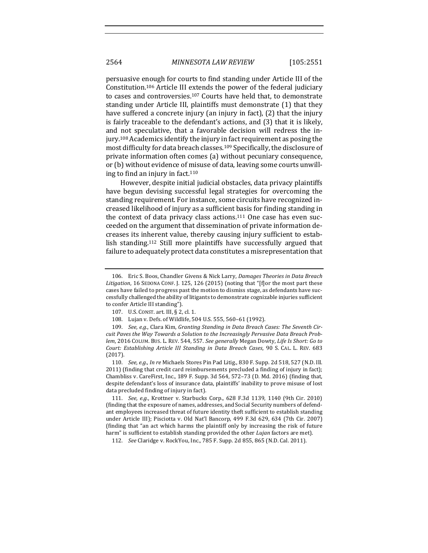persuasive enough for courts to find standing under Article III of the Constitution.<sup>106</sup> Article III extends the power of the federal judiciary to cases and controversies.<sup>107</sup> Courts have held that, to demonstrate standing under Article III, plaintiffs must demonstrate (1) that they have suffered a concrete injury (an injury in fact),  $(2)$  that the injury is fairly traceable to the defendant's actions, and (3) that it is likely, and not speculative, that a favorable decision will redress the injury.<sup>108</sup> Academics identify the injury in fact requirement as posing the most difficulty for data breach classes.<sup>109</sup> Specifically, the disclosure of private information often comes (a) without pecuniary consequence, or (b) without evidence of misuse of data, leaving some courts unwilling to find an injury in fact. $110$ 

However, despite initial judicial obstacles, data privacy plaintiffs have begun devising successful legal strategies for overcoming the standing requirement. For instance, some circuits have recognized increased likelihood of injury as a sufficient basis for finding standing in the context of data privacy class actions.<sup>111</sup> One case has even succeeded on the argument that dissemination of private information decreases its inherent value, thereby causing injury sufficient to establish standing.<sup>112</sup> Still more plaintiffs have successfully argued that failure to adequately protect data constitutes a misrepresentation that

<sup>106.</sup> Eric S. Boos, Chandler Givens & Nick Larry, *Damages Theories in Data Breach* Litigation, 16 SEDONA CONF. J. 125, 126 (2015) (noting that "[f]or the most part these cases have failed to progress past the motion to dismiss stage, as defendants have successfully challenged the ability of litigants to demonstrate cognizable injuries sufficient to confer Article III standing").

<sup>107.</sup> U.S. CONST. art. III, § 2, cl. 1.

<sup>108.</sup> Lujan v. Defs. of Wildlife, 504 U.S. 555, 560-61 (1992).

<sup>109.</sup> *See, e.g.*, Clara Kim, Granting Standing in Data Breach Cases: The Seventh Circuit Paves the Way Towards a Solution to the Increasingly Pervasive Data Breach Prob*lem*, 2016 COLUM. BUS. L. REV. 544, 557. *See generally* Megan Dowty, *Life Is Short: Go to Court: Establishing Article III Standing in Data Breach Cases,* 90 S. CAL. L. REV. 683 (2017).

<sup>110.</sup> *See, e.g., In re* Michaels Stores Pin Pad Litig., 830 F. Supp. 2d 518, 527 (N.D. Ill. 2011) (finding that credit card reimbursements precluded a finding of injury in fact); Chambliss v. CareFirst, Inc., 189 F. Supp. 3d 564, 572-73 (D. Md. 2016) (finding that, despite defendant's loss of insurance data, plaintiffs' inability to prove misuse of lost data precluded finding of injury in fact).

<sup>111.</sup> *See, e.g.*, Krottner v. Starbucks Corp., 628 F.3d 1139, 1140 (9th Cir. 2010) (finding that the exposure of names, addresses, and Social Security numbers of defendant employees increased threat of future identity theft sufficient to establish standing under Article III); Pisciotta v. Old Nat'l Bancorp, 499 F.3d 629, 634 (7th Cir. 2007) (finding that "an act which harms the plaintiff only by increasing the risk of future harm" is sufficient to establish standing provided the other *Lujan* factors are met).

<sup>112.</sup> *See* Claridge v. RockYou, Inc., 785 F. Supp. 2d 855, 865 (N.D. Cal. 2011).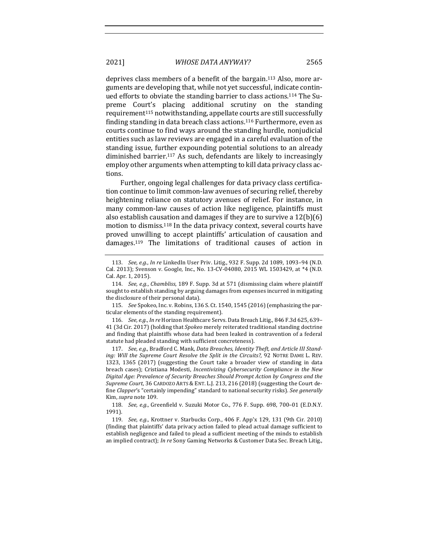deprives class members of a benefit of the bargain.<sup>113</sup> Also, more arguments are developing that, while not yet successful, indicate continued efforts to obviate the standing barrier to class actions.<sup>114</sup> The Supreme Court's placing additional scrutiny on the standing requirement<sup>115</sup> notwithstanding, appellate courts are still successfully finding standing in data breach class actions.<sup>116</sup> Furthermore, even as courts continue to find ways around the standing hurdle, nonjudicial entities such as law reviews are engaged in a careful evaluation of the standing issue, further expounding potential solutions to an already diminished barrier.<sup>117</sup> As such, defendants are likely to increasingly employ other arguments when attempting to kill data privacy class actions. 

Further, ongoing legal challenges for data privacy class certification continue to limit common-law avenues of securing relief, thereby heightening reliance on statutory avenues of relief. For instance, in many common-law causes of action like negligence, plaintiffs must also establish causation and damages if they are to survive a  $12(b)(6)$ motion to dismiss.<sup>118</sup> In the data privacy context, several courts have proved unwilling to accept plaintiffs' articulation of causation and damages.<sup>119</sup> The limitations of traditional causes of action in

115. *See* Spokeo, Inc. v. Robins, 136 S. Ct. 1540, 1545 (2016) (emphasizing the particular elements of the standing requirement).

116. *See, e.g., In re* Horizon Healthcare Servs. Data Breach Litig., 846 F.3d 625, 639– 41 (3d Cir. 2017) (holding that *Spokeo* merely reiterated traditional standing doctrine and finding that plaintiffs whose data had been leaked in contravention of a federal statute had pleaded standing with sufficient concreteness).

117. See, e.g., Bradford C. Mank, Data Breaches, Identity Theft, and Article III Stand*ing:* Will the Supreme Court Resolve the Split in the Circuits?, 92 NOTRE DAME L. REV. 1323, 1365 (2017) (suggesting the Court take a broader view of standing in data breach cases); Cristiana Modesti, *Incentivizing Cybersecurity Compliance in the New* Digital Age: Prevalence of Security Breaches Should Prompt Action by Congress and the *Supreme Court*, 36 CARDOZO ARTS & ENT. L.J. 213, 216 (2018) (suggesting the Court define *Clapper's* "certainly impending" standard to national security risks). See generally Kim, *supra* note 109.

118. *See, e.g.*, Greenfield v. Suzuki Motor Co., 776 F. Supp. 698, 700-01 (E.D.N.Y. 1991).

119. *See, e.g.*, Krottner v. Starbucks Corp., 406 F. App'x 129, 131 (9th Cir. 2010) (finding that plaintiffs' data privacy action failed to plead actual damage sufficient to establish negligence and failed to plead a sufficient meeting of the minds to establish an implied contract); *In re* Sony Gaming Networks & Customer Data Sec. Breach Litig.,

<sup>113.</sup> *See, e.g., In re LinkedIn User Priv. Litig.,* 932 F. Supp. 2d 1089, 1093-94 (N.D. Cal. 2013); Svenson v. Google, Inc., No. 13-CV-04080, 2015 WL 1503429, at \*4 (N.D. Cal. Apr. 1, 2015).

<sup>114.</sup> *See, e.g., Chambliss,* 189 F. Supp. 3d at 571 (dismissing claim where plaintiff sought to establish standing by arguing damages from expenses incurred in mitigating the disclosure of their personal data).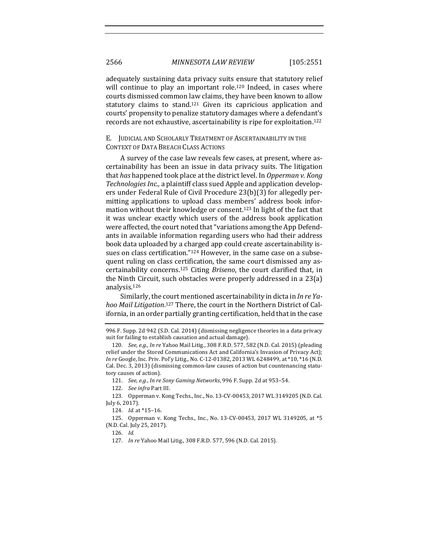adequately sustaining data privacy suits ensure that statutory relief will continue to play an important role.<sup>120</sup> Indeed, in cases where courts dismissed common law claims, they have been known to allow statutory claims to stand.<sup>121</sup> Given its capricious application and courts' propensity to penalize statutory damages where a defendant's records are not exhaustive, ascertainability is ripe for exploitation.<sup>122</sup>

E. JUDICIAL AND SCHOLARLY TREATMENT OF ASCERTAINABILITY IN THE CONTEXT OF DATA BREACH CLASS ACTIONS

A survey of the case law reveals few cases, at present, where ascertainability has been an issue in data privacy suits. The litigation that *has* happened took place at the district level. In *Opperman v. Kong Technologies Inc.*, a plaintiff class sued Apple and application developers under Federal Rule of Civil Procedure 23(b)(3) for allegedly permitting applications to upload class members' address book information without their knowledge or consent.<sup>123</sup> In light of the fact that it was unclear exactly which users of the address book application were affected, the court noted that "variations among the App Defendants in available information regarding users who had their address book data uploaded by a charged app could create ascertainability issues on class certification."<sup>124</sup> However, in the same case on a subsequent ruling on class certification, the same court dismissed any ascertainability concerns.<sup>125</sup> Citing *Briseno*, the court clarified that, in the Ninth Circuit, such obstacles were properly addressed in a  $23(a)$ analysis.126

Similarly, the court mentioned ascertainability in dicta in *In re Ya*hoo Mail Litigation.<sup>127</sup> There, the court in the Northern District of California, in an order partially granting certification, held that in the case

<sup>996</sup> F. Supp. 2d 942 (S.D. Cal. 2014) (dismissing negligence theories in a data privacy suit for failing to establish causation and actual damage).

<sup>120.</sup> *See, e.g., In re* Yahoo Mail Litig., 308 F.R.D. 577, 582 (N.D. Cal. 2015) (pleading relief under the Stored Communications Act and California's Invasion of Privacy Act); *In re* Google, Inc. Priv. Pol'y Litig., No. C-12-01382, 2013 WL 6248499, at \*10, \*16 (N.D. Cal. Dec. 3, 2013) (dismissing common-law causes of action but countenancing statutory causes of action).

<sup>121.</sup> *See, e.g., In re Sony Gaming Networks*, 996 F. Supp. 2d at 953-54.

<sup>122.</sup> *See infra* Part III.

<sup>123.</sup> Opperman v. Kong Techs., Inc., No. 13-CV-00453, 2017 WL 3149205 (N.D. Cal. July 6, 2017).

<sup>124.</sup> *Id.* at \*15-16.

<sup>125.</sup> Opperman v. Kong Techs., Inc., No. 13-CV-00453, 2017 WL 3149205, at \*5 (N.D. Cal. July 25, 2017).

<sup>126.</sup> *Id.*

<sup>127.</sup> *In re* Yahoo Mail Litig., 308 F.R.D. 577, 596 (N.D. Cal. 2015).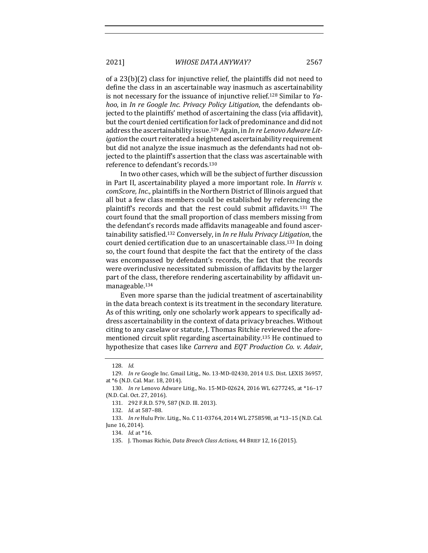of a  $23(b)(2)$  class for injunctive relief, the plaintiffs did not need to define the class in an ascertainable way inasmuch as ascertainability is not necessary for the issuance of injunctive relief.<sup>128</sup> Similar to *Yahoo*, in *In re Google Inc. Privacy Policy Litigation*, the defendants objected to the plaintiffs' method of ascertaining the class (via affidavit), but the court denied certification for lack of predominance and did not address the ascertainability issue.<sup>129</sup> Again, in *In re Lenovo Adware Litigation* the court reiterated a heightened ascertainability requirement but did not analyze the issue inasmuch as the defendants had not objected to the plaintiff's assertion that the class was ascertainable with reference to defendant's records.<sup>130</sup>

In two other cases, which will be the subject of further discussion in Part II, ascertainability played a more important role. In *Harris v. comScore, Inc.*, plaintiffs in the Northern District of Illinois argued that all but a few class members could be established by referencing the plaintiff's records and that the rest could submit affidavits.<sup>131</sup> The court found that the small proportion of class members missing from the defendant's records made affidavits manageable and found ascertainability satisfied.<sup>132</sup> Conversely, in *In re Hulu Privacy Litigation*, the court denied certification due to an unascertainable class.<sup>133</sup> In doing so, the court found that despite the fact that the entirety of the class was encompassed by defendant's records, the fact that the records were overinclusive necessitated submission of affidavits by the larger part of the class, therefore rendering ascertainability by affidavit unmanageable.134

Even more sparse than the judicial treatment of ascertainability in the data breach context is its treatment in the secondary literature. As of this writing, only one scholarly work appears to specifically address ascertainability in the context of data privacy breaches. Without citing to any caselaw or statute, J. Thomas Ritchie reviewed the aforementioned circuit split regarding ascertainability.<sup>135</sup> He continued to hypothesize that cases like *Carrera* and *EQT* Production *Co.* v. Adair,

<sup>128.</sup> *Id.*

<sup>129.</sup> *In re* Google Inc. Gmail Litig., No. 13-MD-02430, 2014 U.S. Dist. LEXIS 36957, at \*6 (N.D. Cal. Mar. 18, 2014).

<sup>130.</sup> *In re* Lenovo Adware Litig., No. 15-MD-02624, 2016 WL 6277245, at \*16-17 (N.D. Cal. Oct. 27, 2016).

<sup>131. 292</sup> F.R.D. 579, 587 (N.D. Ill. 2013).

<sup>132.</sup> *Id.* at 587-88.

<sup>133.</sup> *In re* Hulu Priv. Litig., No. C 11-03764, 2014 WL 2758598, at \*13-15 (N.D. Cal. June 16, 2014).

<sup>134.</sup> *Id.* at \*16.

<sup>135.</sup> J. Thomas Richie, *Data Breach Class Actions*, 44 BRIEF 12, 16 (2015).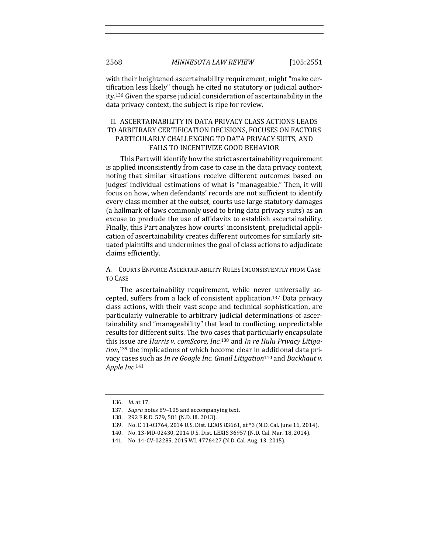with their heightened ascertainability requirement, might "make certification less likely" though he cited no statutory or judicial authority.<sup>136</sup> Given the sparse judicial consideration of ascertainability in the data privacy context, the subject is ripe for review.

# II. ASCERTAINABILITY IN DATA PRIVACY CLASS ACTIONS LEADS TO ARBITRARY CERTIFICATION DECISIONS, FOCUSES ON FACTORS PARTICULARLY CHALLENGING TO DATA PRIVACY SUITS, AND FAILS TO INCENTIVIZE GOOD BEHAVIOR

This Part will identify how the strict ascertainability requirement is applied inconsistently from case to case in the data privacy context, noting that similar situations receive different outcomes based on judges' individual estimations of what is "manageable." Then, it will focus on how, when defendants' records are not sufficient to identify every class member at the outset, courts use large statutory damages (a hallmark of laws commonly used to bring data privacy suits) as an excuse to preclude the use of affidavits to establish ascertainability. Finally, this Part analyzes how courts' inconsistent, prejudicial application of ascertainability creates different outcomes for similarly situated plaintiffs and undermines the goal of class actions to adjudicate claims efficiently. 

A. COURTS ENFORCE ASCERTAINABILITY RULES INCONSISTENTLY FROM CASE TO CASE

The ascertainability requirement, while never universally accepted, suffers from a lack of consistent application.<sup>137</sup> Data privacy class actions, with their vast scope and technical sophistication, are particularly vulnerable to arbitrary judicial determinations of ascertainability and "manageability" that lead to conflicting, unpredictable results for different suits. The two cases that particularly encapsulate this issue are *Harris v. comScore, Inc.*<sup>138</sup> and In re Hulu Privacy Litigation,<sup>139</sup> the implications of which become clear in additional data privacy cases such as *In re Google Inc. Gmail Litigation*<sup>140</sup> and *Backhaut v. Apple Inc*. 141

<sup>136.</sup> *Id.* at 17.

<sup>137.</sup> *Supra* notes 89–105 and accompanying text.

<sup>138. 292</sup> F.R.D. 579, 581 (N.D. Ill. 2013).

<sup>139.</sup> No. C 11-03764, 2014 U.S. Dist. LEXIS 83661, at \*3 (N.D. Cal. June 16, 2014).

<sup>140.</sup> No. 13-MD-02430, 2014 U.S. Dist. LEXIS 36957 (N.D. Cal. Mar. 18, 2014).

<sup>141.</sup> No. 14-CV-02285, 2015 WL 4776427 (N.D. Cal. Aug. 13, 2015).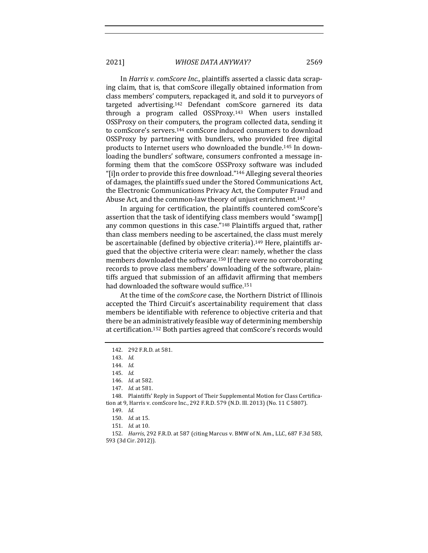In *Harris v. comScore Inc.*, plaintiffs asserted a classic data scraping claim, that is, that comScore illegally obtained information from class members' computers, repackaged it, and sold it to purveyors of targeted advertising.<sup>142</sup> Defendant comScore garnered its data through a program called  $OSSProxy.<sup>143</sup>$  When users installed OSSProxy on their computers, the program collected data, sending it to comScore's servers.<sup>144</sup> comScore induced consumers to download OSSProxy by partnering with bundlers, who provided free digital products to Internet users who downloaded the bundle.<sup>145</sup> In downloading the bundlers' software, consumers confronted a message informing them that the comScore OSSProxy software was included " $[i]$ n order to provide this free download."<sup>146</sup> Alleging several theories of damages, the plaintiffs sued under the Stored Communications Act, the Electronic Communications Privacy Act, the Computer Fraud and Abuse Act, and the common-law theory of unjust enrichment.<sup>147</sup>

In arguing for certification, the plaintiffs countered comScore's assertion that the task of identifying class members would "swamp[] any common questions in this case."<sup>148</sup> Plaintiffs argued that, rather than class members needing to be ascertained, the class must merely be ascertainable (defined by objective criteria).<sup>149</sup> Here, plaintiffs argued that the objective criteria were clear: namely, whether the class members downloaded the software.<sup>150</sup> If there were no corroborating records to prove class members' downloading of the software, plaintiffs argued that submission of an affidavit affirming that members had downloaded the software would suffice.<sup>151</sup>

At the time of the *comScore* case, the Northern District of Illinois accepted the Third Circuit's ascertainability requirement that class members be identifiable with reference to objective criteria and that there be an administratively feasible way of determining membership at certification.<sup>152</sup> Both parties agreed that comScore's records would

146. *Id.* at 582.

<sup>142. 292</sup> F.R.D. at 581.

<sup>143.</sup> *Id.*

<sup>144.</sup> *Id.*

<sup>145.</sup> *Id.*

<sup>147.</sup> *Id.* at 581.

<sup>148.</sup> Plaintiffs' Reply in Support of Their Supplemental Motion for Class Certification at 9, Harris v. comScore Inc., 292 F.R.D. 579 (N.D. Ill. 2013) (No. 11 C 5807).

<sup>149.</sup> *Id.*

<sup>150.</sup> *Id.* at 15.

<sup>151.</sup> *Id.* at 10.

<sup>152.</sup> *Harris*, 292 F.R.D. at 587 (citing Marcus v. BMW of N. Am., LLC, 687 F.3d 583, 593 (3d Cir. 2012)).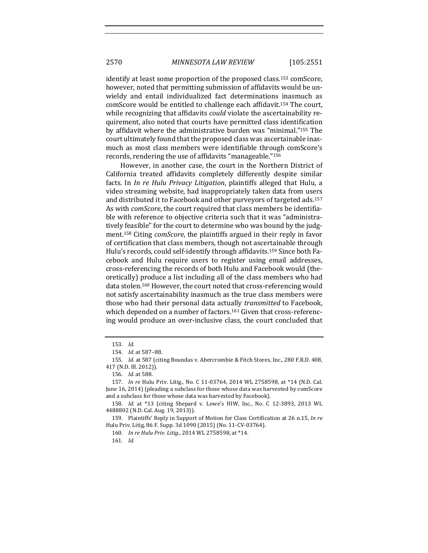identify at least some proportion of the proposed class.<sup>153</sup> comScore, however, noted that permitting submission of affidavits would be unwieldy and entail individualized fact determinations inasmuch as comScore would be entitled to challenge each affidavit.<sup>154</sup> The court, while recognizing that affidavits *could* violate the ascertainability requirement, also noted that courts have permitted class identification by affidavit where the administrative burden was "minimal."<sup>155</sup> The court ultimately found that the proposed class was ascertainable inasmuch as most class members were identifiable through comScore's records, rendering the use of affidavits "manageable."<sup>156</sup>

However, in another case, the court in the Northern District of California treated affidavits completely differently despite similar facts. In *In re Hulu Privacy Litigation*, plaintiffs alleged that Hulu, a video streaming website, had inappropriately taken data from users and distributed it to Facebook and other purveyors of targeted ads.<sup>157</sup> As with *comScore*, the court required that class members be identifiable with reference to objective criteria such that it was "administratively feasible" for the court to determine who was bound by the judgment.<sup>158</sup> Citing *comScore*, the plaintiffs argued in their reply in favor of certification that class members, though not ascertainable through Hulu's records, could self-identify through affidavits.<sup>159</sup> Since both Facebook and Hulu require users to register using email addresses, cross-referencing the records of both Hulu and Facebook would (theoretically) produce a list including all of the class members who had data stolen.<sup>160</sup> However, the court noted that cross-referencing would not satisfy ascertainability inasmuch as the true class members were those who had their personal data actually *transmitted* to Facebook, which depended on a number of factors.<sup>161</sup> Given that cross-referencing would produce an over-inclusive class, the court concluded that

161. *Id.*

<sup>153.</sup> *Id.*

<sup>154.</sup> *Id.* at 587-88.

<sup>155.</sup> *Id.* at 587 (citing Boundas v. Abercrombie & Fitch Stores, Inc., 280 F.R.D. 408, 417 (N.D. Ill. 2012)).

<sup>156.</sup> *Id.* at 588.

<sup>157.</sup> *In re* Hulu Priv. Litig., No. C 11-03764, 2014 WL 2758598, at \*14 (N.D. Cal. June 16, 2014) (pleading a subclass for those whose data was harvested by comScore and a subclass for those whose data was harvested by Facebook).

<sup>158.</sup> *Id.* at \*13 (citing Shepard v. Lowe's HIW, Inc., No. C 12-3893, 2013 WL 4488802 (N.D. Cal. Aug. 19, 2013)).

<sup>159.</sup> Plaintiffs' Reply in Support of Motion for Class Certification at 26 n.15, *In re* Hulu Priv. Litig, 86 F. Supp. 3d 1090 (2015) (No. 11-CV-03764).

<sup>160.</sup> *In re Hulu Priv. Litig.*, 2014 WL 2758598, at \*14.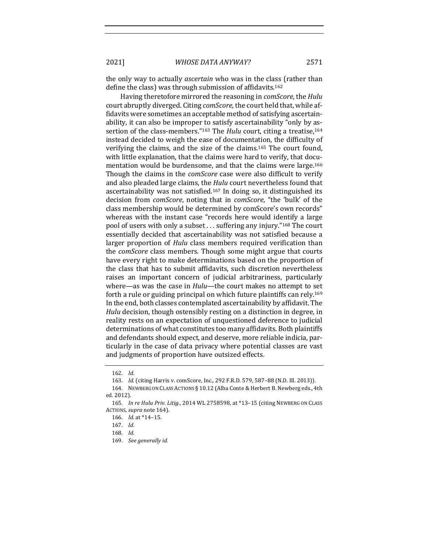the only way to actually *ascertain* who was in the class (rather than define the class) was through submission of affidavits.<sup>162</sup>

Having theretofore mirrored the reasoning in *comScore*, the *Hulu* court abruptly diverged. Citing *comScore*, the court held that, while affidavits were sometimes an acceptable method of satisfying ascertainability, it can also be improper to satisfy ascertainability "only by assertion of the class-members."<sup>163</sup> The *Hulu* court, citing a treatise,<sup>164</sup> instead decided to weigh the ease of documentation, the difficulty of verifying the claims, and the size of the claims.<sup>165</sup> The court found, with little explanation, that the claims were hard to verify, that documentation would be burdensome, and that the claims were large.<sup>166</sup> Though the claims in the *comScore* case were also difficult to verify and also pleaded large claims, the *Hulu* court nevertheless found that ascertainability was not satisfied.<sup>167</sup> In doing so, it distinguished its decision from *comScore*, noting that in *comScore*, "the 'bulk' of the class membership would be determined by comScore's own records" whereas with the instant case "records here would identify a large pool of users with only a subset . . . suffering any injury."<sup>168</sup> The court essentially decided that ascertainability was not satisfied because a larger proportion of *Hulu* class members required verification than the *comScore* class members. Though some might argue that courts have every right to make determinations based on the proportion of the class that has to submit affidavits, such discretion nevertheless raises an important concern of judicial arbitrariness, particularly where—as was the case in *Hulu*—the court makes no attempt to set forth a rule or guiding principal on which future plaintiffs can rely.<sup>169</sup> In the end, both classes contemplated ascertainability by affidavit. The *Hulu* decision, though ostensibly resting on a distinction in degree, in reality rests on an expectation of unquestioned deference to judicial determinations of what constitutes too many affidavits. Both plaintiffs and defendants should expect, and deserve, more reliable indicia, particularly in the case of data privacy where potential classes are vast and judgments of proportion have outsized effects.

<sup>162.</sup> *Id.*

<sup>163.</sup> *Id.* (citing Harris v. comScore, Inc., 292 F.R.D. 579, 587-88 (N.D. Ill. 2013)).

<sup>164.</sup> NEWBERG ON CLASS ACTIONS § 10.12 (Alba Conte & Herbert B. Newberg eds., 4th ed. 2012).

<sup>165.</sup> *In re Hulu Priv. Litig.*, 2014 WL 2758598, at \*13-15 (citing NEWBERG ON CLASS ACTIONS, *supra* note 164).

<sup>166.</sup> *Id.* at \*14-15.

<sup>167.</sup> *Id.*

<sup>168.</sup> *Id.*

<sup>169.</sup> *See generally id.*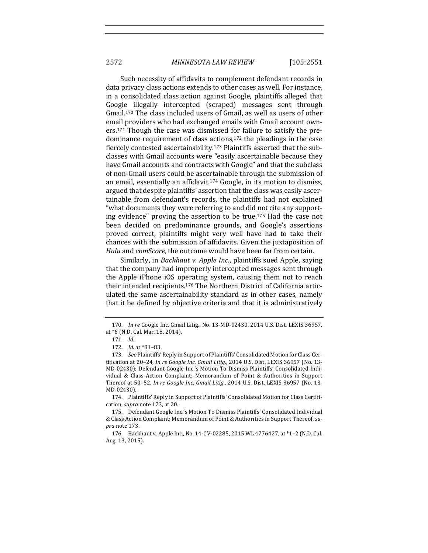Such necessity of affidavits to complement defendant records in data privacy class actions extends to other cases as well. For instance, in a consolidated class action against Google, plaintiffs alleged that Google illegally intercepted (scraped) messages sent through Gmail.<sup>170</sup> The class included users of Gmail, as well as users of other email providers who had exchanged emails with Gmail account owners.<sup>171</sup> Though the case was dismissed for failure to satisfy the predominance requirement of class actions, $172$  the pleadings in the case fiercely contested ascertainability.<sup>173</sup> Plaintiffs asserted that the subclasses with Gmail accounts were "easily ascertainable because they have Gmail accounts and contracts with Google" and that the subclass of non-Gmail users could be ascertainable through the submission of an email, essentially an affidavit.<sup>174</sup> Google, in its motion to dismiss, argued that despite plaintiffs' assertion that the class was easily ascertainable from defendant's records, the plaintiffs had not explained "what documents they were referring to and did not cite any supporting evidence" proving the assertion to be true.<sup>175</sup> Had the case not been decided on predominance grounds, and Google's assertions proved correct, plaintiffs might very well have had to take their chances with the submission of affidavits. Given the juxtaposition of *Hulu* and *comScore*, the outcome would have been far from certain.

Similarly, in *Backhaut v. Apple Inc.*, plaintiffs sued Apple, saying that the company had improperly intercepted messages sent through the Apple iPhone iOS operating system, causing them not to reach their intended recipients.<sup>176</sup> The Northern District of California articulated the same ascertainability standard as in other cases, namely that it be defined by objective criteria and that it is administratively

174. Plaintiffs' Reply in Support of Plaintiffs' Consolidated Motion for Class Certification, *supra* note 173, at 20.

<sup>170.</sup> *In re* Google Inc. Gmail Litig., No. 13-MD-02430, 2014 U.S. Dist. LEXIS 36957, at \*6 (N.D. Cal. Mar. 18, 2014).

<sup>171.</sup> *Id.*

<sup>172.</sup> *Id.* at \*81-83.

<sup>173.</sup> *See* Plaintiffs' Reply in Support of Plaintiffs' Consolidated Motion for Class Certification at 20-24, *In re Google Inc. Gmail Litig.*, 2014 U.S. Dist. LEXIS 36957 (No. 13-MD-02430); Defendant Google Inc.'s Motion To Dismiss Plaintiffs' Consolidated Individual & Class Action Complaint; Memorandum of Point & Authorities in Support Thereof at 50-52, *In re Google Inc. Gmail Litig.*, 2014 U.S. Dist. LEXIS 36957 (No. 13-MD-02430).

<sup>175.</sup> Defendant Google Inc.'s Motion To Dismiss Plaintiffs' Consolidated Individual & Class Action Complaint; Memorandum of Point & Authorities in Support Thereof, su*pra* note 173.

<sup>176.</sup> Backhaut v. Apple Inc., No. 14-CV-02285, 2015 WL 4776427, at \*1-2 (N.D. Cal. Aug. 13, 2015).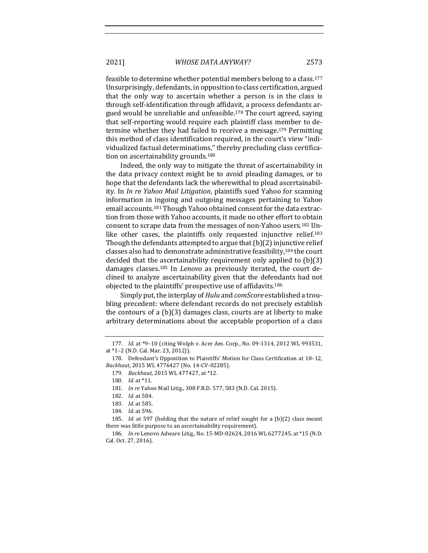feasible to determine whether potential members belong to a class.<sup>177</sup> Unsurprisingly, defendants, in opposition to class certification, argued that the only way to ascertain whether a person is in the class is through self-identification through affidavit, a process defendants argued would be unreliable and unfeasible.<sup>178</sup> The court agreed, saying that self-reporting would require each plaintiff class member to determine whether they had failed to receive a message.<sup>179</sup> Permitting this method of class identification required, in the court's view "individualized factual determinations," thereby precluding class certification on ascertainability grounds.<sup>180</sup>

Indeed, the only way to mitigate the threat of ascertainability in the data privacy context might be to avoid pleading damages, or to hope that the defendants lack the wherewithal to plead ascertainability. In *In re Yahoo Mail Litigation*, plaintiffs sued Yahoo for scanning information in ingoing and outgoing messages pertaining to Yahoo email accounts.<sup>181</sup> Though Yahoo obtained consent for the data extraction from those with Yahoo accounts, it made no other effort to obtain consent to scrape data from the messages of non-Yahoo users.<sup>182</sup> Unlike other cases, the plaintiffs only requested injunctive relief.<sup>183</sup> Though the defendants attempted to argue that  $(b)(2)$  injunctive relief classes also had to demonstrate administrative feasibility,<sup>184</sup> the court decided that the ascertainability requirement only applied to  $(b)(3)$ damages classes.<sup>185</sup> In *Lenovo* as previously iterated, the court declined to analyze ascertainability given that the defendants had not objected to the plaintiffs' prospective use of affidavits.<sup>186</sup>

Simply put, the interplay of *Hulu* and *comScore* established a troubling precedent: where defendant records do not precisely establish the contours of a  $(b)(3)$  damages class, courts are at liberty to make arbitrary determinations about the acceptable proportion of a class

<sup>177.</sup> *Id.* at \*9-10 (citing Wolph v. Acer Am. Corp., No. 09-1314, 2012 WL 993531, at \*1-2 (N.D. Cal. Mar. 23, 2012)).

<sup>178.</sup> Defendant's Opposition to Plaintiffs' Motion for Class Certification at 10-12, Backhaut, 2015 WL 4776427 (No. 14-CV-02285).

<sup>179.</sup> *Backhaut*, 2015 WL 477427, at \*12.

<sup>180.</sup> *Id.* at \*11.

<sup>181.</sup> *In re* Yahoo Mail Litig., 308 F.R.D. 577, 583 (N.D. Cal. 2015).

<sup>182.</sup> *Id.* at 584.

<sup>183.</sup> *Id.* at 585.

<sup>184.</sup> *Id.* at 596.

<sup>185.</sup> *Id.* at 597 (holding that the nature of relief sought for a (b)(2) class meant there was little purpose to an ascertainability requirement).

<sup>186.</sup> *In re* Lenovo Adware Litig., No. 15-MD-02624, 2016 WL 6277245, at \*15 (N.D. Cal. Oct. 27, 2016).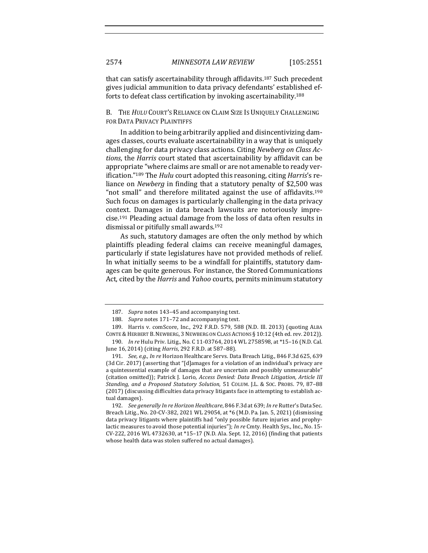that can satisfy ascertainability through affidavits.<sup>187</sup> Such precedent gives judicial ammunition to data privacy defendants' established efforts to defeat class certification by invoking ascertainability.<sup>188</sup>

B. THE *HULU* COURT'S RELIANCE ON CLAIM SIZE IS UNIQUELY CHALLENGING FOR DATA PRIVACY PLAINTIFFS

In addition to being arbitrarily applied and disincentivizing damages classes, courts evaluate ascertainability in a way that is uniquely challenging for data privacy class actions. Citing *Newberg on Class Actions*, the *Harris* court stated that ascertainability by affidavit can be appropriate "where claims are small or are not amenable to ready verification."<sup>189</sup> The *Hulu* court adopted this reasoning, citing *Harris's* reliance on *Newberg* in finding that a statutory penalty of \$2,500 was "not small" and therefore militated against the use of affidavits.<sup>190</sup> Such focus on damages is particularly challenging in the data privacy context. Damages in data breach lawsuits are notoriously imprecise.<sup>191</sup> Pleading actual damage from the loss of data often results in dismissal or pitifully small awards.<sup>192</sup>

As such, statutory damages are often the only method by which plaintiffs pleading federal claims can receive meaningful damages, particularly if state legislatures have not provided methods of relief. In what initially seems to be a windfall for plaintiffs, statutory damages can be quite generous. For instance, the Stored Communications Act, cited by the *Harris* and *Yahoo* courts, permits minimum statutory

<sup>187.</sup> Supra notes 143-45 and accompanying text.

<sup>188.</sup> Supra notes 171-72 and accompanying text.

<sup>189.</sup> Harris v. comScore, Inc., 292 F.R.D. 579, 588 (N.D. Ill. 2013) (quoting ALBA CONTE & HERBERT B. NEWBERG, 3 NEWBERG ON CLASS ACTIONS § 10:12 (4th ed. rev. 2012)).

<sup>190.</sup> *In re* Hulu Priv. Litig., No. C 11-03764, 2014 WL 2758598, at \*15-16 (N.D. Cal. June 16, 2014) (citing *Harris*, 292 F.R.D. at 587-88).

<sup>191.</sup> *See, e.g., In re* Horizon Healthcare Servs. Data Breach Litig., 846 F.3d 625, 639  $(3d$  Cir. 2017) (asserting that "[d]amages for a violation of an individual's privacy are a quintessential example of damages that are uncertain and possibly unmeasurable" (citation omitted)); Patrick J. Lorio, *Access Denied: Data Breach Litigation, Article III* Standing, and a Proposed Statutory Solution, 51 COLUM. J.L. & Soc. PROBS. 79, 87-88 (2017) (discussing difficulties data privacy litigants face in attempting to establish actual damages).

<sup>192.</sup> *See generally In re Horizon Healthcare*, 846 F.3d at 639; *In re Rutter's Data Sec.* Breach Litig., No. 20-CV-382, 2021 WL 29054, at \*6 (M.D. Pa. Jan. 5, 2021) (dismissing data privacy litigants where plaintiffs had "only possible future injuries and prophylactic measures to avoid those potential injuries"); *In re* Cmty. Health Sys., Inc., No. 15-CV-222, 2016 WL 4732630, at \*15-17 (N.D. Ala. Sept. 12, 2016) (finding that patients whose health data was stolen suffered no actual damages).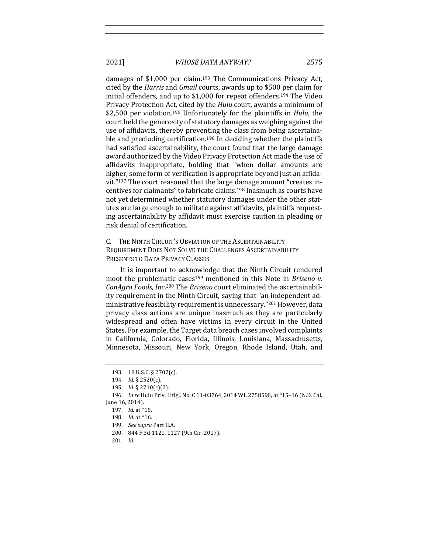damages of  $$1,000$  per claim.<sup>193</sup> The Communications Privacy Act, cited by the *Harris* and *Gmail* courts, awards up to \$500 per claim for initial offenders, and up to  $$1,000$  for repeat offenders.<sup>194</sup> The Video Privacy Protection Act, cited by the *Hulu* court, awards a minimum of \$2,500 per violation.<sup>195</sup> Unfortunately for the plaintiffs in *Hulu*, the court held the generosity of statutory damages as weighing against the use of affidavits, thereby preventing the class from being ascertainable and precluding certification.<sup>196</sup> In deciding whether the plaintiffs had satisfied ascertainability, the court found that the large damage award authorized by the Video Privacy Protection Act made the use of affidavits inappropriate, holding that "when dollar amounts are higher, some form of verification is appropriate beyond just an affidavit."<sup>197</sup> The court reasoned that the large damage amount "creates incentives for claimants" to fabricate claims.<sup>198</sup> Inasmuch as courts have not yet determined whether statutory damages under the other statutes are large enough to militate against affidavits, plaintiffs requesting ascertainability by affidavit must exercise caution in pleading or risk denial of certification. 

C. THE NINTH CIRCUIT'S OBVIATION OF THE ASCERTAINABILITY REQUIREMENT DOES NOT SOLVE THE CHALLENGES ASCERTAINABILITY PRESENTS TO DATA PRIVACY CLASSES

It is important to acknowledge that the Ninth Circuit rendered moot the problematic cases<sup>199</sup> mentioned in this Note in *Briseno v.* ConAgra Foods, Inc.<sup>200</sup> The Briseno court eliminated the ascertainability requirement in the Ninth Circuit, saying that "an independent administrative feasibility requirement is unnecessary."<sup>201</sup> However, data privacy class actions are unique inasmuch as they are particularly widespread and often have victims in every circuit in the United States. For example, the Target data breach cases involved complaints in California, Colorado, Florida, Illinois, Louisiana, Massachusetts, Minnesota, Missouri, New York, Oregon, Rhode Island, Utah, and

<sup>193. 18</sup> U.S.C. § 2707(c).

<sup>194.</sup> *Id.* § 2520(c).

<sup>195.</sup> *Id.* § 2710(c)(2).

<sup>196.</sup> *In re* Hulu Priv. Litig., No. C 11-03764, 2014 WL 2758598, at \*15-16 (N.D. Cal. June 16, 2014).

<sup>197.</sup> *Id.* at \*15.

<sup>198.</sup> *Id.* at \*16.

<sup>199.</sup> *See supra* Part II.A.

<sup>200. 844</sup> F.3d 1121, 1127 (9th Cir. 2017).

<sup>201.</sup> *Id.*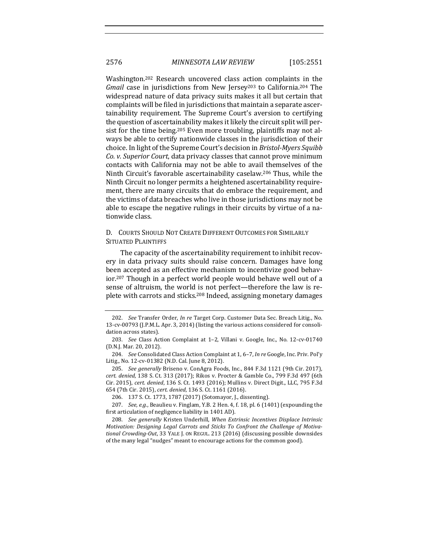Washington.<sup>202</sup> Research uncovered class action complaints in the *Gmail* case in jurisdictions from New Jersey<sup>203</sup> to California.<sup>204</sup> The widespread nature of data privacy suits makes it all but certain that complaints will be filed in jurisdictions that maintain a separate ascertainability requirement. The Supreme Court's aversion to certifying the question of ascertainability makes it likely the circuit split will persist for the time being.<sup>205</sup> Even more troubling, plaintiffs may not always be able to certify nationwide classes in the jurisdiction of their choice. In light of the Supreme Court's decision in *Bristol-Myers Squibb Co.* v. Superior *Court*, data privacy classes that cannot prove minimum contacts with California may not be able to avail themselves of the Ninth Circuit's favorable ascertainability caselaw.<sup>206</sup> Thus, while the Ninth Circuit no longer permits a heightened ascertainability requirement, there are many circuits that do embrace the requirement, and the victims of data breaches who live in those jurisdictions may not be able to escape the negative rulings in their circuits by virtue of a nationwide class.

# D. COURTS SHOULD NOT CREATE DIFFERENT OUTCOMES FOR SIMILARLY SITUATED PLAINTIFFS

The capacity of the ascertainability requirement to inhibit recovery in data privacy suits should raise concern. Damages have long been accepted as an effective mechanism to incentivize good behavior.<sup>207</sup> Though in a perfect world people would behave well out of a sense of altruism, the world is not perfect—therefore the law is replete with carrots and sticks.<sup>208</sup> Indeed, assigning monetary damages

<sup>202.</sup> *See* Transfer Order, *In re* Target Corp. Customer Data Sec. Breach Litig., No. 13-cv-00793 (J.P.M.L. Apr. 3, 2014) (listing the various actions considered for consolidation across states).

<sup>203.</sup> *See* Class Action Complaint at 1-2, Villani v. Google, Inc., No. 12-cv-01740 (D.N.J. Mar. 20, 2012).

<sup>204.</sup> *See* Consolidated Class Action Complaint at 1, 6-7, *In re* Google, Inc. Priv. Pol'y Litig., No. 12-cv-01382 (N.D. Cal. June 8, 2012).

<sup>205.</sup> *See generally* Briseno v. ConAgra Foods, Inc., 844 F.3d 1121 (9th Cir. 2017), *cert. denied*, 138 S. Ct. 313 (2017); Rikos v. Procter & Gamble Co., 799 F.3d 497 (6th Cir. 2015), *cert. denied*, 136 S. Ct. 1493 (2016); Mullins v. Direct Digit., LLC, 795 F.3d 654 (7th Cir. 2015), *cert. denied*, 136 S. Ct. 1161 (2016).

<sup>206. 137</sup> S. Ct. 1773, 1787 (2017) (Sotomayor, J., dissenting).

<sup>207.</sup> *See, e.g.*, Beaulieu v. Finglam, Y.B. 2 Hen. 4, f. 18, pl. 6 (1401) (expounding the first articulation of negligence liability in 1401 AD).

<sup>208.</sup> *See generally* Kristen Underhill, *When Extrinsic Incentives Displace Intrinsic* Motivation: Designing Legal Carrots and Sticks To Confront the Challenge of Motivational Crowding-Out, 33 YALE J. ON REGUL. 213 (2016) (discussing possible downsides of the many legal "nudges" meant to encourage actions for the common good).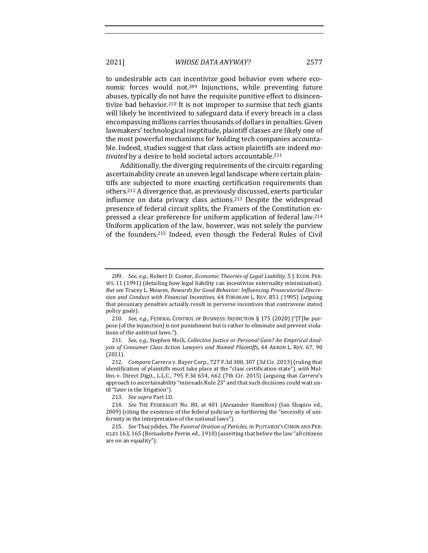to undesirable acts can incentivize good behavior even where economic forces would not.<sup>209</sup> Injunctions, while preventing future abuses, typically do not have the requisite punitive effect to disincentivize bad behavior.<sup>210</sup> It is not improper to surmise that tech giants will likely be incentivized to safeguard data if every breach in a class encompassing millions carries thousands of dollars in penalties. Given lawmakers' technological ineptitude, plaintiff classes are likely one of the most powerful mechanisms for holding tech companies accountable. Indeed, studies suggest that class action plaintiffs are indeed *motivated* by a desire to hold societal actors accountable.<sup>211</sup>

Additionally, the diverging requirements of the circuits regarding ascertainability create an uneven legal landscape where certain plaintiffs are subjected to more exacting certification requirements than others.<sup>212</sup> A divergence that, as previously discussed, exerts particular influence on data privacy class actions.<sup>213</sup> Despite the widespread presence of federal circuit splits, the Framers of the Constitution expressed a clear preference for uniform application of federal law.<sup>214</sup> Uniform application of the law, however, was not solely the purview of the founders.<sup>215</sup> Indeed, even though the Federal Rules of Civil

<sup>209.</sup> *See, e.g.*, Robert D. Cooter, *Economic Theories of Legal Liability*, 5 J. ECON. PER-SPS. 11 (1991) (detailing how legal liability can incentivize externality minimization). But see Tracey L. Meares, *Rewards for Good Behavior: Influencing Prosecutorial Discretion and Conduct with Financial Incentives*, 64 FORDHAM L. REV. 851 (1995) (arguing that pecuniary penalties actually result in perverse incentives that contravene stated policy goals). 

<sup>210.</sup> *See, e.g.*, FEDERAL CONTROL OF BUSINESS: INJUNCTION § 175 (2020) ("[T]he purpose [of the injunction] is not punishment but is rather to eliminate and prevent violations of the antitrust laws.").

<sup>211.</sup> See, e.g., Stephen Meili, Collective Justice or Personal Gain? An Empirical Analysis of Consumer Class Action Lawyers and Named Plaintiffs, 44 AKRON L. REV. 67, 90 (2011). 

<sup>212.</sup> *Compare* Carrera v. Bayer Corp., 727 F.3d 300, 307 (3d Cir. 2013) (ruling that identification of plaintiffs must take place at the "class certification state"), with Mullins v. Direct Digit., L.L.C., 795 F.3d 654, 662 (7th Cir. 2015) (arguing that *Carrera's* approach to ascertainability "misreads Rule 23" and that such decisions could wait until "later in the litigation").

<sup>213.</sup> *See supra Part I.D.* 

<sup>214.</sup> *See* THE FEDERALIST No. 80, at 401 (Alexander Hamilton) (Ian Shapiro ed., 2009) (citing the existence of the federal judiciary as furthering the "necessity of uniformity in the interpretation of the national laws").

<sup>215.</sup> *See* Thucydides, *The Funeral Oration of Pericles*, *in PLUTARCH'S CIMON AND PER-*ICLES 163, 165 (Bernadotte Perrin ed., 1910) (asserting that before the law "all citizens are on an equality").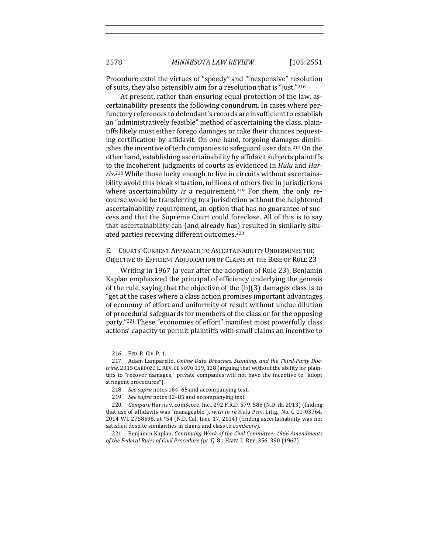Procedure extol the virtues of "speedy" and "inexpensive" resolution of suits, they also ostensibly aim for a resolution that is "just."216

At present, rather than ensuring equal protection of the law, ascertainability presents the following conundrum. In cases where perfunctory references to defendant's records are insufficient to establish an "administratively feasible" method of ascertaining the class, plaintiffs likely must either forego damages or take their chances requesting certification by affidavit. On one hand, forgoing damages diminishes the incentive of tech companies to safeguard user data.<sup>217</sup> On the other hand, establishing ascertainability by affidavit subjects plaintiffs to the incoherent judgments of courts as evidenced in *Hulu* and *Har*ris.<sup>218</sup> While those lucky enough to live in circuits without ascertainability avoid this bleak situation, millions of others live in jurisdictions where ascertainability *is* a requirement.<sup>219</sup> For them, the only recourse would be transferring to a jurisdiction without the heightened ascertainability requirement, an option that has no guarantee of success and that the Supreme Court could foreclose. All of this is to say that ascertainability can (and already has) resulted in similarly situated parties receiving different outcomes.<sup>220</sup>

### E. COURTS' CURRENT APPROACH TO ASCERTAINABILITY UNDERMINES THE OBJECTIVE OF EFFICIENT ADJUDICATION OF CLAIMS AT THE BASE OF RULE 23

Writing in 1967 (a year after the adoption of Rule 23), Benjamin Kaplan emphasized the principal of efficiency underlying the genesis of the rule, saying that the objective of the  $(b)(3)$  damages class is to "get at the cases where a class action promises important advantages of economy of effort and uniformity of result without undue dilution of procedural safeguards for members of the class or for the opposing party."<sup>221</sup> These "economies of effort" manifest most powerfully class actions' capacity to permit plaintiffs with small claims an incentive to

<sup>216.</sup> FED. R. CIV. P. 1.

<sup>217.</sup> Adam Lamparello, *Online Data Breaches, Standing, and the Third-Party Doc*trine, 2015 CARDOZO L. REV. DE NOVO 119, 128 (arguing that without the ability for plaintiffs to "recover damages," private companies will not have the incentive to "adopt stringent procedures").

<sup>218.</sup> *See supra* notes 164-65 and accompanying text.

<sup>219.</sup> *See supra* notes 82-85 and accompanying text.

<sup>220.</sup> *Compare* Harris v. comScore, Inc., 292 F.R.D. 579, 588 (N.D. Ill. 2013) (finding that use of affidavits was "manageable"), with *In re* Hulu Priv. Litig., No. C 11-03764, 2014 WL 2758598, at \*54 (N.D. Cal. June 17, 2014) (finding ascertainability was not satisfied despite similarities in claims and class to *comScore*).

<sup>221.</sup> Benjamin Kaplan, *Continuing Work of the Civil Committee: 1966 Amendments of the Federal Rules of Civil Procedure (pt. I)*, 81 HARV. L. REV. 356, 390 (1967).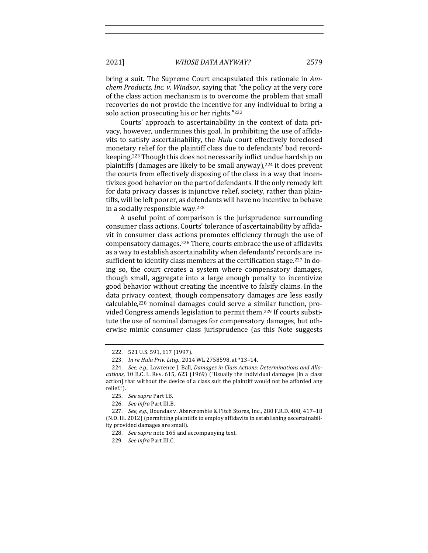bring a suit. The Supreme Court encapsulated this rationale in Am*chem Products, Inc. v. Windsor, saying that "the policy at the very core* of the class action mechanism is to overcome the problem that small recoveries do not provide the incentive for any individual to bring a solo action prosecuting his or her rights."222

Courts' approach to ascertainability in the context of data privacy, however, undermines this goal. In prohibiting the use of affidavits to satisfy ascertainability, the *Hulu* court effectively foreclosed monetary relief for the plaintiff class due to defendants' bad recordkeeping.<sup>223</sup> Though this does not necessarily inflict undue hardship on plaintiffs (damages are likely to be small anyway), $224$  it does prevent the courts from effectively disposing of the class in a way that incentivizes good behavior on the part of defendants. If the only remedy left for data privacy classes is injunctive relief, society, rather than plaintiffs, will be left poorer, as defendants will have no incentive to behave in a socially responsible way.<sup>225</sup>

A useful point of comparison is the jurisprudence surrounding consumer class actions. Courts' tolerance of ascertainability by affidavit in consumer class actions promotes efficiency through the use of compensatory damages.<sup>226</sup> There, courts embrace the use of affidavits as a way to establish ascertainability when defendants' records are insufficient to identify class members at the certification stage.<sup>227</sup> In doing so, the court creates a system where compensatory damages, though small, aggregate into a large enough penalty to incentivize good behavior without creating the incentive to falsify claims. In the data privacy context, though compensatory damages are less easily  $cal$ calculable,<sup>228</sup> nominal damages could serve a similar function, provided Congress amends legislation to permit them.<sup>229</sup> If courts substitute the use of nominal damages for compensatory damages, but otherwise mimic consumer class jurisprudence (as this Note suggests

<sup>222. 521</sup> U.S. 591, 617 (1997).

<sup>223.</sup> *In re Hulu Priv. Litig.*, 2014 WL 2758598, at \*13-14.

<sup>224.</sup> See, e.g., Lawrence J. Ball, *Damages in Class Actions: Determinations and Allocations*, 10 B.C. L. REV. 615, 623 (1969) ("Usually the individual damages [in a class action] that without the device of a class suit the plaintiff would not be afforded any relief.").

<sup>225.</sup> *See supra Part I.B.* 

<sup>226.</sup> *See infra Part III.B.* 

<sup>227.</sup> *See, e.g.*, Boundas v. Abercrombie & Fitch Stores, Inc., 280 F.R.D. 408, 417-18 (N.D. Ill. 2012) (permitting plaintiffs to employ affidavits in establishing ascertainability provided damages are small).

<sup>228.</sup> *See supra* note 165 and accompanying text.

<sup>229.</sup> *See infra Part III.C.*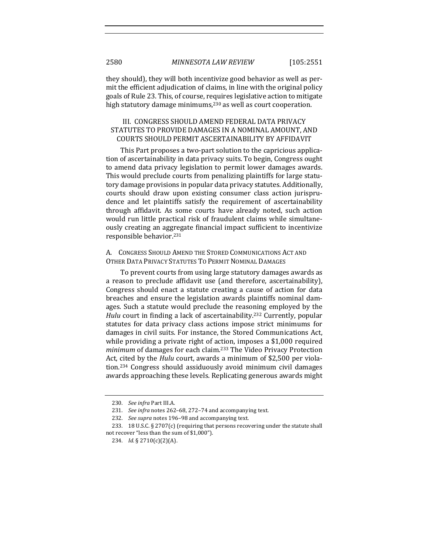they should), they will both incentivize good behavior as well as permit the efficient adjudication of claims, in line with the original policy goals of Rule 23. This, of course, requires legislative action to mitigate high statutory damage minimums, $230$  as well as court cooperation.

# III. CONGRESS SHOULD AMEND FEDERAL DATA PRIVACY STATUTES TO PROVIDE DAMAGES IN A NOMINAL AMOUNT, AND COURTS SHOULD PERMIT ASCERTAINABILITY BY AFFIDAVIT

This Part proposes a two-part solution to the capricious application of ascertainability in data privacy suits. To begin, Congress ought to amend data privacy legislation to permit lower damages awards. This would preclude courts from penalizing plaintiffs for large statutory damage provisions in popular data privacy statutes. Additionally, courts should draw upon existing consumer class action jurisprudence and let plaintiffs satisfy the requirement of ascertainability through affidavit. As some courts have already noted, such action would run little practical risk of fraudulent claims while simultaneously creating an aggregate financial impact sufficient to incentivize responsible behavior.<sup>231</sup>

A. CONGRESS SHOULD AMEND THE STORED COMMUNICATIONS ACT AND OTHER DATA PRIVACY STATUTES TO PERMIT NOMINAL DAMAGES

To prevent courts from using large statutory damages awards as a reason to preclude affidavit use (and therefore, ascertainability), Congress should enact a statute creating a cause of action for data breaches and ensure the legislation awards plaintiffs nominal damages. Such a statute would preclude the reasoning employed by the *Hulu* court in finding a lack of ascertainability.<sup>232</sup> Currently, popular statutes for data privacy class actions impose strict minimums for damages in civil suits. For instance, the Stored Communications Act, while providing a private right of action, imposes a  $$1,000$  required *minimum* of damages for each claim.<sup>233</sup> The Video Privacy Protection Act, cited by the *Hulu* court, awards a minimum of \$2,500 per violation.<sup>234</sup> Congress should assiduously avoid minimum civil damages awards approaching these levels. Replicating generous awards might

<sup>230.</sup> *See infra Part III.A.* 

<sup>231.</sup> See infra notes 262-68, 272-74 and accompanying text.

<sup>232.</sup> *See supra* notes 196-98 and accompanying text.

<sup>233. 18</sup> U.S.C.  $\S 2707(c)$  (requiring that persons recovering under the statute shall not recover "less than the sum of \$1,000").

<sup>234.</sup> *Id.* § 2710(c)(2)(A).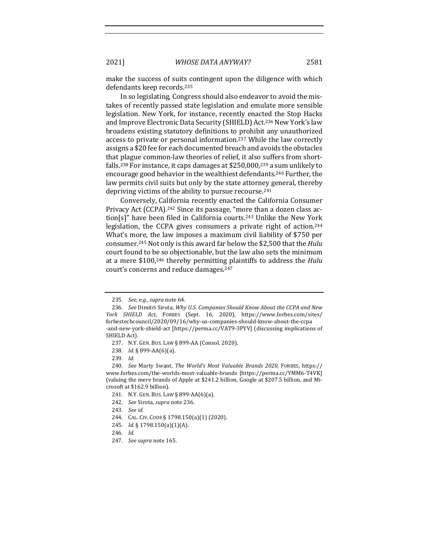make the success of suits contingent upon the diligence with which defendants keep records.<sup>235</sup>

In so legislating, Congress should also endeavor to avoid the mistakes of recently passed state legislation and emulate more sensible legislation. New York, for instance, recently enacted the Stop Hacks and Improve Electronic Data Security (SHIELD) Act.<sup>236</sup> New York's law broadens existing statutory definitions to prohibit any unauthorized access to private or personal information.<sup>237</sup> While the law correctly assigns a \$20 fee for each documented breach and avoids the obstacles that plague common-law theories of relief, it also suffers from shortfalls.<sup>238</sup> For instance, it caps damages at  $$250,000,^{239}$  a sum unlikely to encourage good behavior in the wealthiest defendants.<sup>240</sup> Further, the law permits civil suits but only by the state attorney general, thereby depriving victims of the ability to pursue recourse.<sup>241</sup>

Conversely, California recently enacted the California Consumer Privacy Act (CCPA).<sup>242</sup> Since its passage, "more than a dozen class action[s]" have been filed in California courts.<sup>243</sup> Unlike the New York legislation, the CCPA gives consumers a private right of action.<sup>244</sup> What's more, the law imposes a maximum civil liability of \$750 per consumer.<sup>245</sup> Not only is this award far below the \$2,500 that the *Hulu* court found to be so objectionable, but the law also sets the minimum at a mere \$100,<sup>246</sup> thereby permitting plaintiffs to address the *Hulu* court's concerns and reduce damages.<sup>247</sup>

<sup>235.</sup> *See, e.g., supra* note 64.

<sup>236.</sup> See Dimitri Sirota, Why U.S. Companies Should Know About the CCPA and New *York SHIELD Act*, FORBES (Sept. 16, 2020), https://www.forbes.com/sites/ forbestechcouncil/2020/09/16/why-us-companies-should-know-about-the-ccpa -and-new-york-shield-act [https://perma.cc/VAT9-3PYV] (discussing implications of SHIELD Act).

<sup>237.</sup> N.Y. GEN. BUS. LAW § 899-AA (Consol. 2020).

<sup>238.</sup> *Id.* § 899-AA(6)(a).

<sup>239.</sup> *Id.*

<sup>240.</sup> *See* Marty Swant, *The World's Most Valuable Brands 2020*, FORBES, https:// www.forbes.com/the-worlds-most-valuable-brands [https://perma.cc/YMM6-T4VK] (valuing the mere brands of Apple at \$241.2 billion, Google at \$207.5 billion, and Microsoft at \$162.9 billion).

<sup>241.</sup> N.Y. GEN. BUS. LAW § 899-AA(6)(a).

<sup>242.</sup> *See* Sirota, *supra* note 236.

<sup>243.</sup> *See id.*

<sup>244.</sup> CAL. CIV. CODE § 1798.150(a)(1) (2020).

<sup>245.</sup> *Id.* § 1798.150(a)(1)(A).

<sup>246.</sup> Id.

<sup>247.</sup> *See supra* note 165.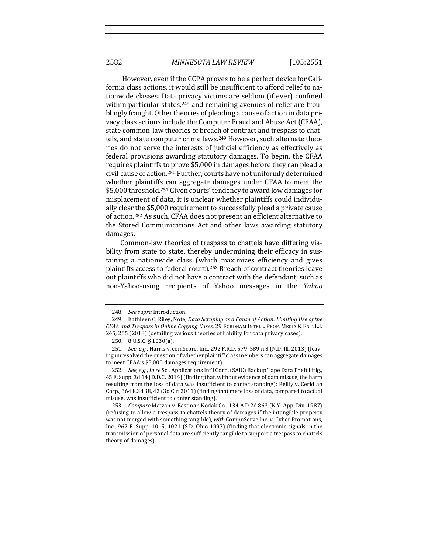However, even if the CCPA proves to be a perfect device for California class actions, it would still be insufficient to afford relief to nationwide classes. Data privacy victims are seldom (if ever) confined within particular states, $248$  and remaining avenues of relief are troublingly fraught. Other theories of pleading a cause of action in data privacy class actions include the Computer Fraud and Abuse Act (CFAA), state common-law theories of breach of contract and trespass to chattels, and state computer crime laws.<sup>249</sup> However, such alternate theories do not serve the interests of judicial efficiency as effectively as federal provisions awarding statutory damages. To begin, the CFAA requires plaintiffs to prove \$5,000 in damages before they can plead a civil cause of action.<sup>250</sup> Further, courts have not uniformly determined whether plaintiffs can aggregate damages under CFAA to meet the \$5,000 threshold.<sup>251</sup> Given courts' tendency to award low damages for misplacement of data, it is unclear whether plaintiffs could individually clear the \$5,000 requirement to successfully plead a private cause of action.<sup>252</sup> As such, CFAA does not present an efficient alternative to the Stored Communications Act and other laws awarding statutory damages. 

Common-law theories of trespass to chattels have differing viability from state to state, thereby undermining their efficacy in sustaining a nationwide class (which maximizes efficiency and gives plaintiffs access to federal court).<sup>253</sup> Breach of contract theories leave out plaintiffs who did not have a contract with the defendant, such as non-Yahoo-using recipients of Yahoo messages in the *Yahoo*

<sup>248.</sup> See supra Introduction.

<sup>249.</sup> Kathleen C. Riley, Note, *Data Scraping as a Cause of Action: Limiting Use of the CFAA and Trespass in Online Copying Cases,* 29 FORDHAM INTELL. PROP. MEDIA & ENT. L.J. 245, 265 (2018) (detailing various theories of liability for data privacy cases).

<sup>250. 8</sup> U.S.C.  $\S$  1030(g).

<sup>251.</sup> *See, e.g.*, Harris v. comScore, Inc., 292 F.R.D. 579, 589 n.8 (N.D. Ill. 2013) (leaving unresolved the question of whether plaintiff class members can aggregate damages to meet CFAA's \$5,000 damages requirement).

<sup>252.</sup> *See, e.g., In re* Sci. Applications Int'l Corp. (SAIC) Backup Tape Data Theft Litig., 45 F. Supp. 3d 14 (D.D.C. 2014) (finding that, without evidence of data misuse, the harm resulting from the loss of data was insufficient to confer standing); Reilly v. Ceridian Corp., 664 F.3d 38, 42 (3d Cir. 2011) (finding that mere loss of data, compared to actual misuse, was insufficient to confer standing).

<sup>253.</sup> *Compare* Matzan v. Eastman Kodak Co., 134 A.D.2d 863 (N.Y. App. Div. 1987) (refusing to allow a trespass to chattels theory of damages if the intangible property was not merged with something tangible), *with* CompuServe Inc. v. Cyber Promotions, Inc., 962 F. Supp. 1015, 1021 (S.D. Ohio 1997) (finding that electronic signals in the transmission of personal data are sufficiently tangible to support a trespass to chattels theory of damages).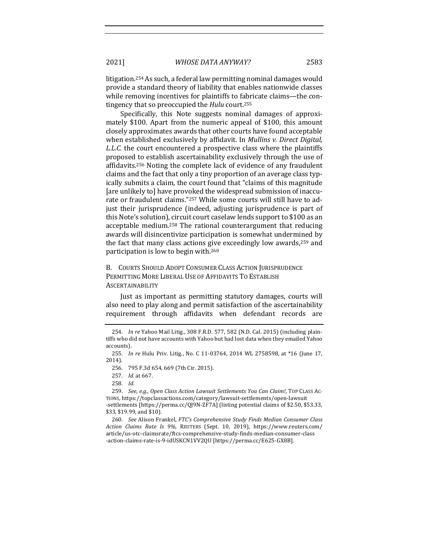litigation.<sup>254</sup> As such, a federal law permitting nominal damages would provide a standard theory of liability that enables nationwide classes while removing incentives for plaintiffs to fabricate claims-the contingency that so preoccupied the *Hulu* court.<sup>255</sup>

Specifically, this Note suggests nominal damages of approximately \$100. Apart from the numeric appeal of \$100, this amount closely approximates awards that other courts have found acceptable when established exclusively by affidavit. In *Mullins v. Direct Digital*, *L.L.C.* the court encountered a prospective class where the plaintiffs proposed to establish ascertainability exclusively through the use of affidavits.<sup>256</sup> Noting the complete lack of evidence of any fraudulent claims and the fact that only a tiny proportion of an average class typically submits a claim, the court found that "claims of this magnitude [are unlikely to] have provoked the widespread submission of inaccurate or fraudulent claims."<sup>257</sup> While some courts will still have to adjust their jurisprudence (indeed, adjusting jurisprudence is part of this Note's solution), circuit court caselaw lends support to \$100 as an acceptable medium.<sup>258</sup> The rational counterargument that reducing awards will disincentivize participation is somewhat undermined by the fact that many class actions give exceedingly low awards, $259$  and participation is low to begin with. $260$ 

B. COURTS SHOULD ADOPT CONSUMER CLASS ACTION JURISPRUDENCE PERMITTING MORE LIBERAL USE OF AFFIDAVITS TO ESTABLISH **ASCERTAINABILITY** 

Just as important as permitting statutory damages, courts will also need to play along and permit satisfaction of the ascertainability requirement through affidavits when defendant records are

259. *See, e.g., Open Class Action Lawsuit Settlements You Can Claim!, TOP CLASS AC-*TIONS, https://topclassactions.com/category/lawsuit-settlements/open-lawsuit -settlements [https://perma.cc/QJ9N-ZF7A] (listing potential claims of \$2.50, \$53.33, \$33, \$19.99, and \$10).

260. *See* Alison Frankel, *FTC's Comprehensive Study Finds Median Consumer Class Action Claims Rate Is 9%*, REUTERS (Sept. 10, 2019), https://www.reuters.com/ article/us-otc-claimsrate/ftcs-comprehensive-study-finds-median-consumer-class -action-claims-rate-is-9-idUSKCN1VV2QU [https://perma.cc/E625-GX8B].

<sup>254.</sup> *In re* Yahoo Mail Litig., 308 F.R.D. 577, 582 (N.D. Cal. 2015) (including plaintiffs who did not have accounts with Yahoo but had lost data when they emailed Yahoo accounts).

<sup>255.</sup> *In re* Hulu Priv. Litig., No. C 11-03764, 2014 WL 2758598, at \*16 (June 17, 2014).

<sup>256. 795</sup> F.3d 654, 669 (7th Cir. 2015).

<sup>257.</sup> *Id.* at 667.

<sup>258.</sup> *Id.*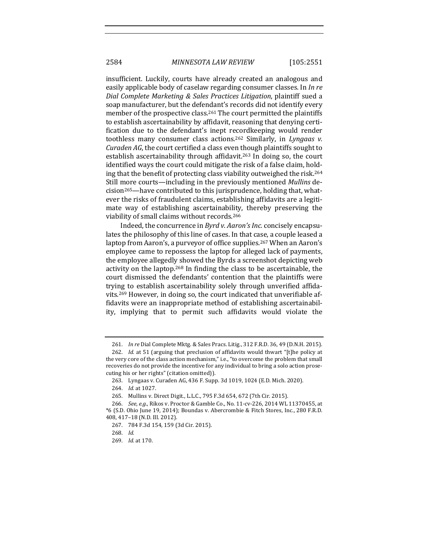insufficient. Luckily, courts have already created an analogous and easily applicable body of caselaw regarding consumer classes. In *In re Dial Complete Marketing & Sales Practices Litigation*, plaintiff sued a soap manufacturer, but the defendant's records did not identify every member of the prospective class.<sup>261</sup> The court permitted the plaintiffs to establish ascertainability by affidavit, reasoning that denying certification due to the defendant's inept recordkeeping would render toothless many consumer class actions.<sup>262</sup> Similarly, in *Lyngaas v. Curaden AG*, the court certified a class even though plaintiffs sought to establish ascertainability through affidavit.<sup>263</sup> In doing so, the court identified ways the court could mitigate the risk of a false claim, holding that the benefit of protecting class viability outweighed the risk.<sup>264</sup> Still more courts—including in the previously mentioned *Mullins* de $cision<sup>265</sup>$ —have contributed to this jurisprudence, holding that, whatever the risks of fraudulent claims, establishing affidavits are a legitimate way of establishing ascertainability, thereby preserving the viability of small claims without records.<sup>266</sup>

Indeed, the concurrence in *Byrd v. Aaron's Inc.* concisely encapsulates the philosophy of this line of cases. In that case, a couple leased a laptop from Aaron's, a purveyor of office supplies.<sup>267</sup> When an Aaron's employee came to repossess the laptop for alleged lack of payments, the employee allegedly showed the Byrds a screenshot depicting web activity on the laptop.<sup>268</sup> In finding the class to be ascertainable, the court dismissed the defendants' contention that the plaintiffs were trying to establish ascertainability solely through unverified affidavits.<sup>269</sup> However, in doing so, the court indicated that unverifiable affidavits were an inappropriate method of establishing ascertainability, implying that to permit such affidavits would violate the

<sup>261.</sup> *In re* Dial Complete Mktg. & Sales Pracs. Litig., 312 F.R.D. 36, 49 (D.N.H. 2015).

<sup>262.</sup> *Id.* at 51 (arguing that preclusion of affidavits would thwart "[t]he policy at the very core of the class action mechanism," i.e., "to overcome the problem that small recoveries do not provide the incentive for any individual to bring a solo action prosecuting his or her rights" (citation omitted)).

<sup>263.</sup> Lyngaas v. Curaden AG, 436 F. Supp. 3d 1019, 1024 (E.D. Mich. 2020).

<sup>264.</sup> *Id.* at 1027.

<sup>265.</sup> Mullins v. Direct Digit., L.L.C., 795 F.3d 654, 672 (7th Cir. 2015).

<sup>266.</sup> *See, e.g.*, Rikos v. Proctor & Gamble Co., No. 11-cv-226, 2014 WL 11370455, at \*6 (S.D. Ohio June 19, 2014); Boundas v. Abercrombie & Fitch Stores, Inc., 280 F.R.D. 408, 417-18 (N.D. Ill. 2012).

<sup>267. 784</sup> F.3d 154, 159 (3d Cir. 2015).

<sup>268.</sup> *Id.*

<sup>269.</sup> *Id.* at 170.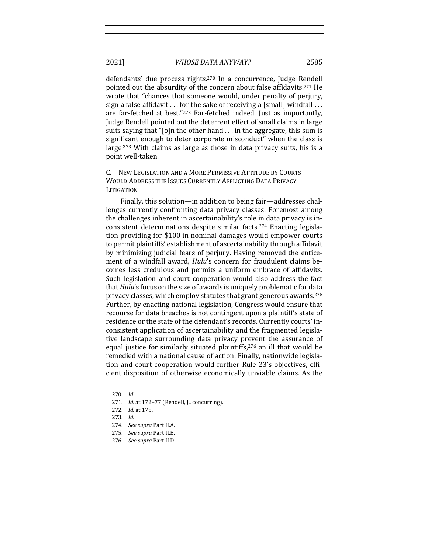defendants' due process rights.<sup>270</sup> In a concurrence, Judge Rendell pointed out the absurdity of the concern about false affidavits.<sup>271</sup> He wrote that "chances that someone would, under penalty of perjury, sign a false affidavit  $\ldots$  for the sake of receiving a [small] windfall  $\ldots$ are far-fetched at best."272 Far-fetched indeed. Just as importantly, Judge Rendell pointed out the deterrent effect of small claims in large suits saying that " $[o]$ n the other hand ... in the aggregate, this sum is significant enough to deter corporate misconduct" when the class is

large. $273$  With claims as large as those in data privacy suits, his is a

C. NEW LEGISLATION AND A MORE PERMISSIVE ATTITUDE BY COURTS WOULD ADDRESS THE ISSUES CURRENTLY AFFLICTING DATA PRIVACY LITIGATION 

Finally, this solution—in addition to being fair—addresses challenges currently confronting data privacy classes. Foremost among the challenges inherent in ascertainability's role in data privacy is inconsistent determinations despite similar facts.<sup>274</sup> Enacting legislation providing for \$100 in nominal damages would empower courts to permit plaintiffs' establishment of ascertainability through affidavit by minimizing judicial fears of perjury. Having removed the enticement of a windfall award, *Hulu's* concern for fraudulent claims becomes less credulous and permits a uniform embrace of affidavits. Such legislation and court cooperation would also address the fact that *Hulu's* focus on the size of awards is uniquely problematic for data privacy classes, which employ statutes that grant generous awards.<sup>275</sup> Further, by enacting national legislation, Congress would ensure that recourse for data breaches is not contingent upon a plaintiff's state of residence or the state of the defendant's records. Currently courts' inconsistent application of ascertainability and the fragmented legislative landscape surrounding data privacy prevent the assurance of equal justice for similarly situated plaintiffs,<sup>276</sup> an ill that would be remedied with a national cause of action. Finally, nationwide legislation and court cooperation would further Rule 23's objectives, efficient disposition of otherwise economically unviable claims. As the

- 274. *See supra Part II.A.*
- 275. *See supra Part II.B.*
- 276. *See supra Part II.D.*

point well-taken.

<sup>270.</sup> *Id.*

<sup>271.</sup> *Id.* at 172-77 (Rendell, J., concurring).

<sup>272.</sup> *Id.* at 175.

<sup>273.</sup> *Id.*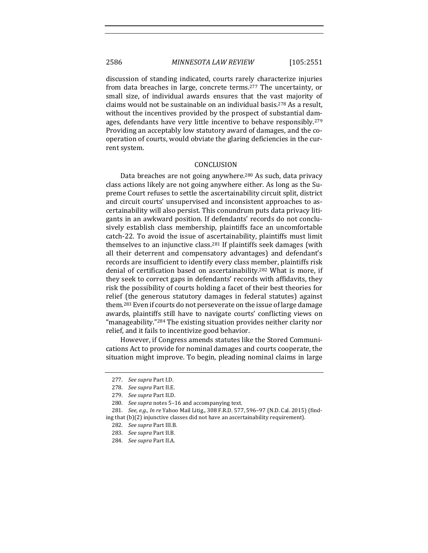#### 2586 *MINNESOTA LAW REVIEW* [105:2551

discussion of standing indicated, courts rarely characterize injuries from data breaches in large, concrete terms.<sup>277</sup> The uncertainty, or small size, of individual awards ensures that the vast majority of claims would not be sustainable on an individual basis.<sup>278</sup> As a result, without the incentives provided by the prospect of substantial damages, defendants have very little incentive to behave responsibly.<sup>279</sup> Providing an acceptably low statutory award of damages, and the cooperation of courts, would obviate the glaring deficiencies in the current system.

#### CONCLUSION

Data breaches are not going anywhere.<sup>280</sup> As such, data privacy class actions likely are not going anywhere either. As long as the Supreme Court refuses to settle the ascertainability circuit split, district and circuit courts' unsupervised and inconsistent approaches to ascertainability will also persist. This conundrum puts data privacy litigants in an awkward position. If defendants' records do not conclusively establish class membership, plaintiffs face an uncomfortable catch-22. To avoid the issue of ascertainability, plaintiffs must limit themselves to an injunctive class.<sup>281</sup> If plaintiffs seek damages (with all their deterrent and compensatory advantages) and defendant's records are insufficient to identify every class member, plaintiffs risk denial of certification based on ascertainability.<sup>282</sup> What is more, if they seek to correct gaps in defendants' records with affidavits, they risk the possibility of courts holding a facet of their best theories for relief (the generous statutory damages in federal statutes) against them.<sup>283</sup> Even if courts do not perseverate on the issue of large damage awards, plaintiffs still have to navigate courts' conflicting views on "manageability."<sup>284</sup> The existing situation provides neither clarity nor relief, and it fails to incentivize good behavior.

However, if Congress amends statutes like the Stored Communications Act to provide for nominal damages and courts cooperate, the situation might improve. To begin, pleading nominal claims in large

<sup>277.</sup> *See supra* Part I.D.

<sup>278.</sup> *See supra* Part II.E.

<sup>279.</sup> See supra Part II.D.

<sup>280.</sup> *See supra* notes 5-16 and accompanying text.

<sup>281.</sup> *See, e.g., In re* Yahoo Mail Litig., 308 F.R.D. 577, 596-97 (N.D. Cal. 2015) (finding that (b)(2) injunctive classes did not have an ascertainability requirement).

<sup>282.</sup> *See supra Part III.B.* 

<sup>283.</sup> *See supra* Part II.B.

<sup>284.</sup> *See supra* Part II.A.